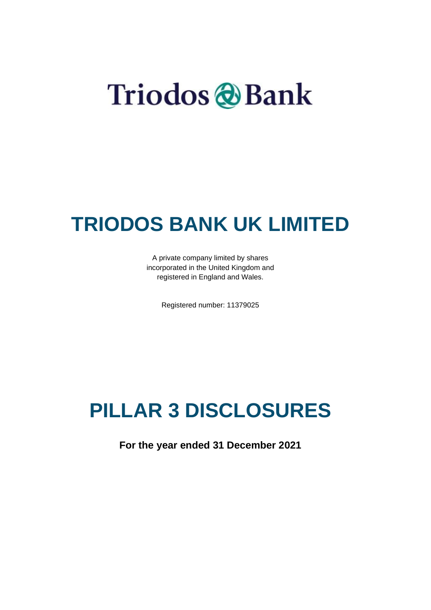# Triodos & Bank

### **TRIODOS BANK UK LIMITED**

A private company limited by shares incorporated in the United Kingdom and registered in England and Wales.

Registered number: 11379025

# **PILLAR 3 DISCLOSURES**

**For the year ended 31 December 2021**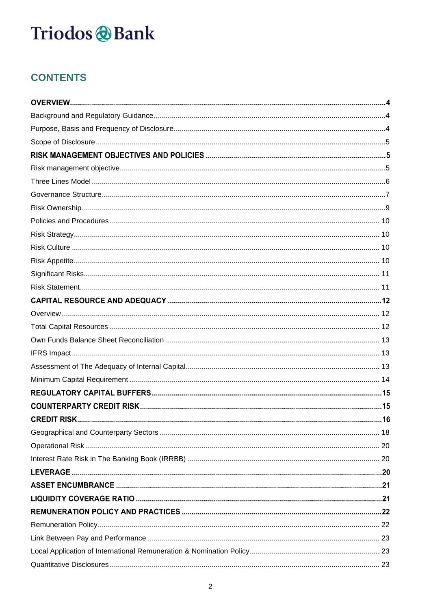### **CONTENTS**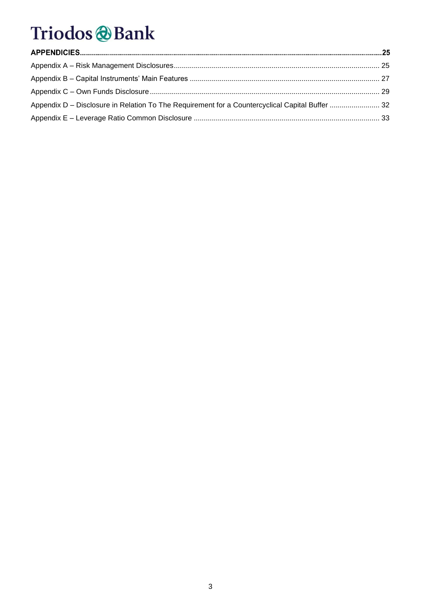| Appendix D - Disclosure in Relation To The Requirement for a Countercyclical Capital Buffer  32 |  |
|-------------------------------------------------------------------------------------------------|--|
|                                                                                                 |  |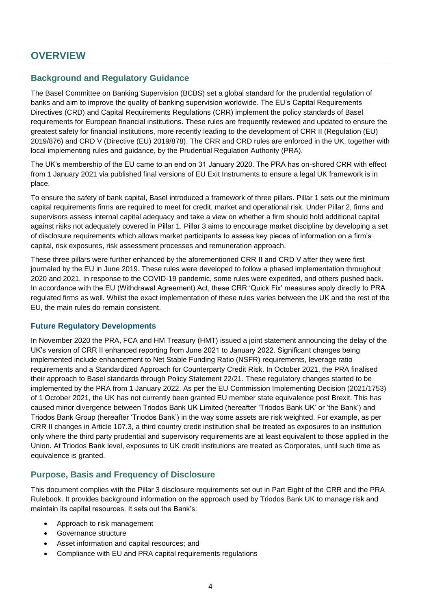### **OVERVIEW**

#### <span id="page-3-0"></span>**Background and Regulatory Guidance**

The Basel Committee on Banking Supervision (BCBS) set a global standard for the prudential regulation of banks and aim to improve the quality of banking supervision worldwide. The EU's Capital Requirements Directives (CRD) and Capital Requirements Regulations (CRR) implement the policy standards of Basel requirements for European financial institutions. These rules are frequently reviewed and updated to ensure the greatest safety for financial institutions, more recently leading to the development of CRR II (Regulation (EU) 2019/876) and CRD V (Directive (EU) 2019/878). The CRR and CRD rules are enforced in the UK, together with local implementing rules and guidance, by the Prudential Regulation Authority (PRA).

The UK's membership of the EU came to an end on 31 January 2020. The PRA has on-shored CRR with effect from 1 January 2021 via published final versions of EU Exit Instruments to ensure a legal UK framework is in place.

To ensure the safety of bank capital, Basel introduced a framework of three pillars. Pillar 1 sets out the minimum capital requirements firms are required to meet for credit, market and operational risk. Under Pillar 2, firms and supervisors assess internal capital adequacy and take a view on whether a firm should hold additional capital against risks not adequately covered in Pillar 1. Pillar 3 aims to encourage market discipline by developing a set of disclosure requirements which allows market participants to assess key pieces of information on a firm's capital, risk exposures, risk assessment processes and remuneration approach.

These three pillars were further enhanced by the aforementioned CRR II and CRD V after they were first journaled by the EU in June 2019. These rules were developed to follow a phased implementation throughout 2020 and 2021. In response to the COVID-19 pandemic, some rules were expedited, and others pushed back. In accordance with the EU (Withdrawal Agreement) Act, these CRR 'Quick Fix' measures apply directly to PRA regulated firms as well. Whilst the exact implementation of these rules varies between the UK and the rest of the EU, the main rules do remain consistent.

#### **Future Regulatory Developments**

In November 2020 the PRA, FCA and HM Treasury (HMT) issued a joint statement announcing the delay of the UK's version of CRR II enhanced reporting from June 2021 to January 2022. Significant changes being implemented include enhancement to Net Stable Funding Ratio (NSFR) requirements, leverage ratio requirements and a Standardized Approach for Counterparty Credit Risk. In October 2021, the PRA finalised their approach to Basel standards through Policy Statement 22/21. These regulatory changes started to be implemented by the PRA from 1 January 2022. As per the EU Commission Implementing Decision (2021/1753) of 1 October 2021, the UK has not currently been granted EU member state equivalence post Brexit. This has caused minor divergence between Triodos Bank UK Limited (hereafter 'Triodos Bank UK' or 'the Bank') and Triodos Bank Group (hereafter 'Triodos Bank') in the way some assets are risk weighted. For example, as per CRR II changes in Article 107.3, a third country credit institution shall be treated as exposures to an institution only where the third party prudential and supervisory requirements are at least equivalent to those applied in the Union. At Triodos Bank level, exposures to UK credit institutions are treated as Corporates, until such time as equivalence is granted.

#### <span id="page-3-1"></span>**Purpose, Basis and Frequency of Disclosure**

This document complies with the Pillar 3 disclosure requirements set out in Part Eight of the CRR and the PRA Rulebook. It provides background information on the approach used by Triodos Bank UK to manage risk and maintain its capital resources. It sets out the Bank's:

- Approach to risk management
- Governance structure
- Asset information and capital resources; and
- Compliance with EU and PRA capital requirements regulations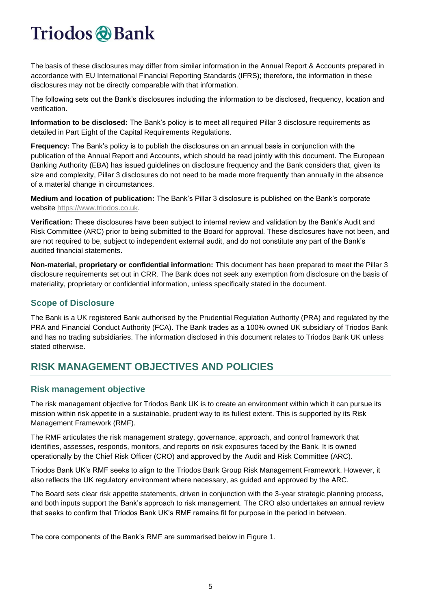The basis of these disclosures may differ from similar information in the Annual Report & Accounts prepared in accordance with EU International Financial Reporting Standards (IFRS); therefore, the information in these disclosures may not be directly comparable with that information.

The following sets out the Bank's disclosures including the information to be disclosed, frequency, location and verification.

**Information to be disclosed:** The Bank's policy is to meet all required Pillar 3 disclosure requirements as detailed in Part Eight of the Capital Requirements Regulations.

**Frequency:** The Bank's policy is to publish the disclosures on an annual basis in conjunction with the publication of the Annual Report and Accounts, which should be read jointly with this document. The European Banking Authority (EBA) has issued guidelines on disclosure frequency and the Bank considers that, given its size and complexity, Pillar 3 disclosures do not need to be made more frequently than annually in the absence of a material change in circumstances.

**Medium and location of publication:** The Bank's Pillar 3 disclosure is published on the Bank's corporate website [https://www.triodos.co.uk.](https://www.triodos.co.uk/)

**Verification:** These disclosures have been subject to internal review and validation by the Bank's Audit and Risk Committee (ARC) prior to being submitted to the Board for approval. These disclosures have not been, and are not required to be, subject to independent external audit, and do not constitute any part of the Bank's audited financial statements.

**Non-material, proprietary or confidential information:** This document has been prepared to meet the Pillar 3 disclosure requirements set out in CRR. The Bank does not seek any exemption from disclosure on the basis of materiality, proprietary or confidential information, unless specifically stated in the document.

#### <span id="page-4-0"></span>**Scope of Disclosure**

The Bank is a UK registered Bank authorised by the Prudential Regulation Authority (PRA) and regulated by the PRA and Financial Conduct Authority (FCA). The Bank trades as a 100% owned UK subsidiary of Triodos Bank and has no trading subsidiaries. The information disclosed in this document relates to Triodos Bank UK unless stated otherwise.

### **RISK MANAGEMENT OBJECTIVES AND POLICIES**

#### <span id="page-4-1"></span>**Risk management objective**

The risk management objective for Triodos Bank UK is to create an environment within which it can pursue its mission within risk appetite in a sustainable, prudent way to its fullest extent. This is supported by its Risk Management Framework (RMF).

The RMF articulates the risk management strategy, governance, approach, and control framework that identifies, assesses, responds, monitors, and reports on risk exposures faced by the Bank. It is owned operationally by the Chief Risk Officer (CRO) and approved by the Audit and Risk Committee (ARC).

Triodos Bank UK's RMF seeks to align to the Triodos Bank Group Risk Management Framework. However, it also reflects the UK regulatory environment where necessary, as guided and approved by the ARC.

The Board sets clear risk appetite statements, driven in conjunction with the 3-year strategic planning process, and both inputs support the Bank's approach to risk management. The CRO also undertakes an annual review that seeks to confirm that Triodos Bank UK's RMF remains fit for purpose in the period in between.

The core components of the Bank's RMF are summarised below in Figure 1.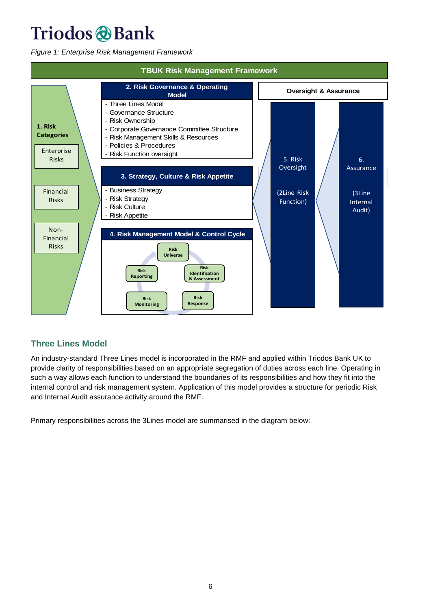*Figure 1: Enterprise Risk Management Framework*



#### <span id="page-5-0"></span>**Three Lines Model**

An industry-standard Three Lines model is incorporated in the RMF and applied within Triodos Bank UK to provide clarity of responsibilities based on an appropriate segregation of duties across each line. Operating in such a way allows each function to understand the boundaries of its responsibilities and how they fit into the internal control and risk management system. Application of this model provides a structure for periodic Risk and Internal Audit assurance activity around the RMF.

Primary responsibilities across the 3Lines model are summarised in the diagram below: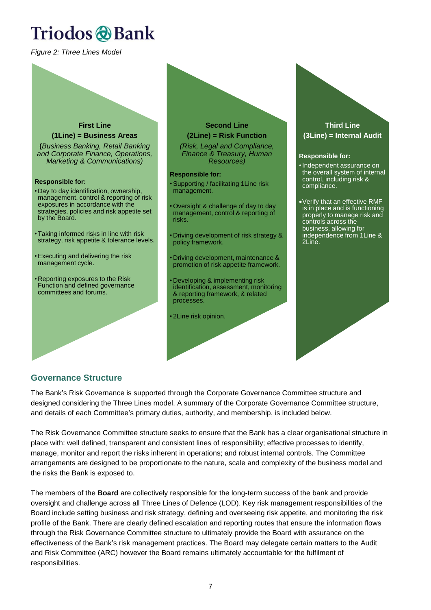*Figure 2: Three Lines Model*

### **First Line (1Line) = Business Areas (***Business Banking, Retail Banking and Corporate Finance, Operations, Marketing & Communications)* **Responsible for:** • Day to day identification, ownership, management, control & reporting of risk exposures in accordance with the strategies, policies and risk appetite set by the Board. • Taking informed risks in line with risk strategy, risk appetite & tolerance levels. •Executing and delivering the risk management cycle. • Reporting exposures to the Risk Function and defined governance committees and forums.

# **Second Line**

**(2Line) = Risk Function** *(Risk, Legal and Compliance,* 

*Finance & Treasury, Human Resources)*

#### **Responsible for:**

•Supporting / facilitating 1Line risk management.

- Oversight & challenge of day to day management, control & reporting of risks.
- Driving development of risk strategy & policy framework.
- Driving development, maintenance & promotion of risk appetite framework.
- Developing & implementing risk identification, assessment, monitoring & reporting framework, & related processes.
- 2Line risk opinion.

#### **Third Line (3Line) = Internal Audit**

#### **Responsible for:**

- •Independent assurance on the overall system of internal control, including risk & compliance.
- •Verify that an effective RMF is in place and is functioning properly to manage risk and controls across the business, allowing for independence from 1Line & 2Line.

#### <span id="page-6-0"></span>**Governance Structure**

The Bank's Risk Governance is supported through the Corporate Governance Committee structure and designed considering the Three Lines model. A summary of the Corporate Governance Committee structure, and details of each Committee's primary duties, authority, and membership, is included below.

The Risk Governance Committee structure seeks to ensure that the Bank has a clear organisational structure in place with: well defined, transparent and consistent lines of responsibility; effective processes to identify, manage, monitor and report the risks inherent in operations; and robust internal controls. The Committee arrangements are designed to be proportionate to the nature, scale and complexity of the business model and the risks the Bank is exposed to.

The members of the **Board** are collectively responsible for the long-term success of the bank and provide oversight and challenge across all Three Lines of Defence (LOD). Key risk management responsibilities of the Board include setting business and risk strategy, defining and overseeing risk appetite, and monitoring the risk profile of the Bank. There are clearly defined escalation and reporting routes that ensure the information flows through the Risk Governance Committee structure to ultimately provide the Board with assurance on the effectiveness of the Bank's risk management practices. The Board may delegate certain matters to the Audit and Risk Committee (ARC) however the Board remains ultimately accountable for the fulfilment of responsibilities.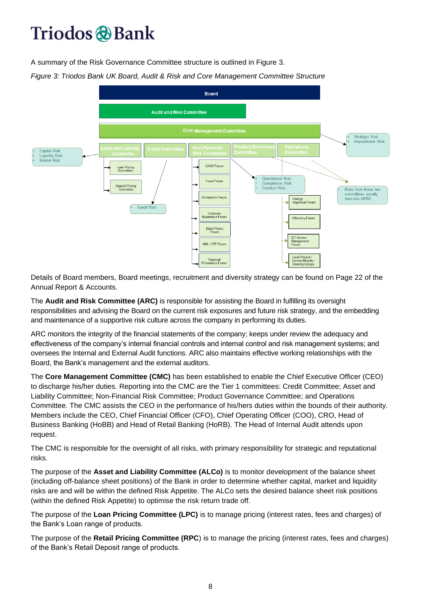A summary of the Risk Governance Committee structure is outlined in Figure 3.

*Figure 3: Triodos Bank UK Board, Audit & Risk and Core Management Committee Structure*



Details of Board members, Board meetings, recruitment and diversity strategy can be found on Page 22 of the Annual Report & Accounts.

The **Audit and Risk Committee (ARC)** is responsible for assisting the Board in fulfilling its oversight responsibilities and advising the Board on the current risk exposures and future risk strategy, and the embedding and maintenance of a supportive risk culture across the company in performing its duties.

ARC monitors the integrity of the financial statements of the company; keeps under review the adequacy and effectiveness of the company's internal financial controls and internal control and risk management systems; and oversees the Internal and External Audit functions. ARC also maintains effective working relationships with the Board, the Bank's management and the external auditors.

The **Core Management Committee (CMC)** has been established to enable the Chief Executive Officer (CEO) to discharge his/her duties. Reporting into the CMC are the Tier 1 committees: Credit Committee; Asset and Liability Committee; Non-Financial Risk Committee; Product Governance Committee; and Operations Committee. The CMC assists the CEO in the performance of his/hers duties within the bounds of their authority. Members include the CEO, Chief Financial Officer (CFO), Chief Operating Officer (COO), CRO, Head of Business Banking (HoBB) and Head of Retail Banking (HoRB). The Head of Internal Audit attends upon request.

The CMC is responsible for the oversight of all risks, with primary responsibility for strategic and reputational risks.

The purpose of the **Asset and Liability Committee (ALCo)** is to monitor development of the balance sheet (including off-balance sheet positions) of the Bank in order to determine whether capital, market and liquidity risks are and will be within the defined Risk Appetite. The ALCo sets the desired balance sheet risk positions (within the defined Risk Appetite) to optimise the risk return trade off.

The purpose of the **Loan Pricing Committee (LPC)** is to manage pricing (interest rates, fees and charges) of the Bank's Loan range of products.

The purpose of the **Retail Pricing Committee (RPC**) is to manage the pricing (interest rates, fees and charges) of the Bank's Retail Deposit range of products.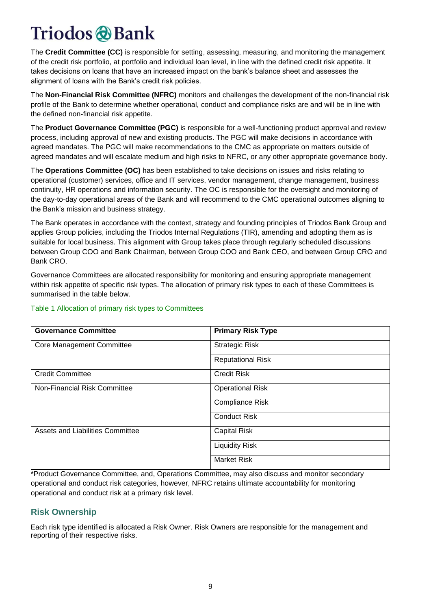The **Credit Committee (CC)** is responsible for setting, assessing, measuring, and monitoring the management of the credit risk portfolio, at portfolio and individual loan level, in line with the defined credit risk appetite. It takes decisions on loans that have an increased impact on the bank's balance sheet and assesses the alignment of loans with the Bank's credit risk policies.

The **Non-Financial Risk Committee (NFRC)** monitors and challenges the development of the non-financial risk profile of the Bank to determine whether operational, conduct and compliance risks are and will be in line with the defined non-financial risk appetite.

The **Product Governance Committee (PGC)** is responsible for a well-functioning product approval and review process, including approval of new and existing products. The PGC will make decisions in accordance with agreed mandates. The PGC will make recommendations to the CMC as appropriate on matters outside of agreed mandates and will escalate medium and high risks to NFRC, or any other appropriate governance body.

The **Operations Committee (OC)** has been established to take decisions on issues and risks relating to operational (customer) services, office and IT services, vendor management, change management, business continuity, HR operations and information security. The OC is responsible for the oversight and monitoring of the day-to-day operational areas of the Bank and will recommend to the CMC operational outcomes aligning to the Bank's mission and business strategy.

The Bank operates in accordance with the context, strategy and founding principles of Triodos Bank Group and applies Group policies, including the Triodos Internal Regulations (TIR), amending and adopting them as is suitable for local business. This alignment with Group takes place through regularly scheduled discussions between Group COO and Bank Chairman, between Group COO and Bank CEO, and between Group CRO and Bank CRO.

Governance Committees are allocated responsibility for monitoring and ensuring appropriate management within risk appetite of specific risk types. The allocation of primary risk types to each of these Committees is summarised in the table below.

| <b>Governance Committee</b>      | <b>Primary Risk Type</b> |
|----------------------------------|--------------------------|
| <b>Core Management Committee</b> | <b>Strategic Risk</b>    |
|                                  | <b>Reputational Risk</b> |
| <b>Credit Committee</b>          | <b>Credit Risk</b>       |
| Non-Financial Risk Committee     | <b>Operational Risk</b>  |
|                                  | <b>Compliance Risk</b>   |
|                                  | <b>Conduct Risk</b>      |
| Assets and Liabilities Committee | <b>Capital Risk</b>      |
|                                  | <b>Liquidity Risk</b>    |
|                                  | <b>Market Risk</b>       |

#### Table 1 Allocation of primary risk types to Committees

\*Product Governance Committee, and, Operations Committee, may also discuss and monitor secondary operational and conduct risk categories, however, NFRC retains ultimate accountability for monitoring operational and conduct risk at a primary risk level.

#### <span id="page-8-0"></span>**Risk Ownership**

Each risk type identified is allocated a Risk Owner. Risk Owners are responsible for the management and reporting of their respective risks.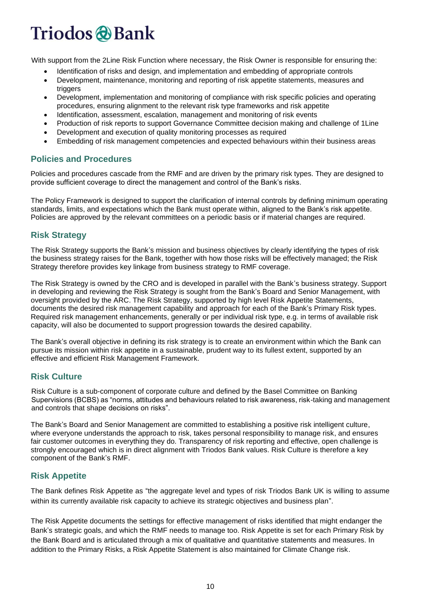# Triodos & Bank

With support from the 2Line Risk Function where necessary, the Risk Owner is responsible for ensuring the:

- Identification of risks and design, and implementation and embedding of appropriate controls
- Development, maintenance, monitoring and reporting of risk appetite statements, measures and triggers
- Development, implementation and monitoring of compliance with risk specific policies and operating procedures, ensuring alignment to the relevant risk type frameworks and risk appetite
- Identification, assessment, escalation, management and monitoring of risk events
- Production of risk reports to support Governance Committee decision making and challenge of 1Line
- Development and execution of quality monitoring processes as required
- Embedding of risk management competencies and expected behaviours within their business areas

#### <span id="page-9-0"></span>**Policies and Procedures**

Policies and procedures cascade from the RMF and are driven by the primary risk types. They are designed to provide sufficient coverage to direct the management and control of the Bank's risks.

The Policy Framework is designed to support the clarification of internal controls by defining minimum operating standards, limits, and expectations which the Bank must operate within, aligned to the Bank's risk appetite. Policies are approved by the relevant committees on a periodic basis or if material changes are required.

#### <span id="page-9-1"></span>**Risk Strategy**

The Risk Strategy supports the Bank's mission and business objectives by clearly identifying the types of risk the business strategy raises for the Bank, together with how those risks will be effectively managed; the Risk Strategy therefore provides key linkage from business strategy to RMF coverage.

The Risk Strategy is owned by the CRO and is developed in parallel with the Bank's business strategy. Support in developing and reviewing the Risk Strategy is sought from the Bank's Board and Senior Management, with oversight provided by the ARC. The Risk Strategy, supported by high level Risk Appetite Statements, documents the desired risk management capability and approach for each of the Bank's Primary Risk types. Required risk management enhancements, generally or per individual risk type, e.g. in terms of available risk capacity, will also be documented to support progression towards the desired capability.

The Bank's overall objective in defining its risk strategy is to create an environment within which the Bank can pursue its mission within risk appetite in a sustainable, prudent way to its fullest extent, supported by an effective and efficient Risk Management Framework.

#### <span id="page-9-2"></span>**Risk Culture**

Risk Culture is a sub-component of corporate culture and defined by the Basel Committee on Banking Supervisions (BCBS) as "norms, attitudes and behaviours related to risk awareness, risk-taking and management and controls that shape decisions on risks".

The Bank's Board and Senior Management are committed to establishing a positive risk intelligent culture, where everyone understands the approach to risk, takes personal responsibility to manage risk, and ensures fair customer outcomes in everything they do. Transparency of risk reporting and effective, open challenge is strongly encouraged which is in direct alignment with Triodos Bank values. Risk Culture is therefore a key component of the Bank's RMF.

#### <span id="page-9-3"></span>**Risk Appetite**

The Bank defines Risk Appetite as "the aggregate level and types of risk Triodos Bank UK is willing to assume within its currently available risk capacity to achieve its strategic objectives and business plan".

The Risk Appetite documents the settings for effective management of risks identified that might endanger the Bank's strategic goals, and which the RMF needs to manage too. Risk Appetite is set for each Primary Risk by the Bank Board and is articulated through a mix of qualitative and quantitative statements and measures. In addition to the Primary Risks, a Risk Appetite Statement is also maintained for Climate Change risk.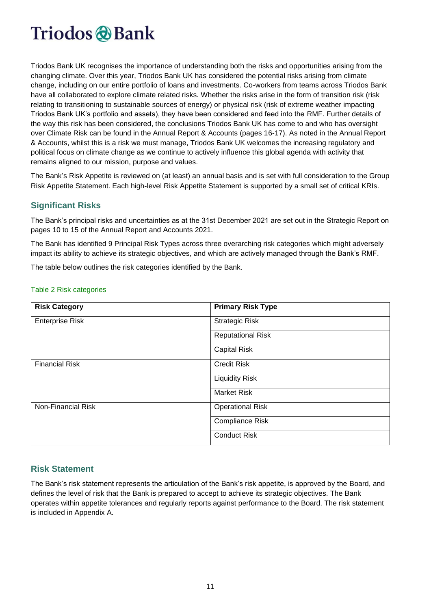Triodos Bank UK recognises the importance of understanding both the risks and opportunities arising from the changing climate. Over this year, Triodos Bank UK has considered the potential risks arising from climate change, including on our entire portfolio of loans and investments. Co-workers from teams across Triodos Bank have all collaborated to explore climate related risks. Whether the risks arise in the form of transition risk (risk relating to transitioning to sustainable sources of energy) or physical risk (risk of extreme weather impacting Triodos Bank UK's portfolio and assets), they have been considered and feed into the RMF. Further details of the way this risk has been considered, the conclusions Triodos Bank UK has come to and who has oversight over Climate Risk can be found in the Annual Report & Accounts (pages 16-17). As noted in the Annual Report & Accounts, whilst this is a risk we must manage, Triodos Bank UK welcomes the increasing regulatory and political focus on climate change as we continue to actively influence this global agenda with activity that remains aligned to our mission, purpose and values.

The Bank's Risk Appetite is reviewed on (at least) an annual basis and is set with full consideration to the Group Risk Appetite Statement. Each high-level Risk Appetite Statement is supported by a small set of critical KRIs.

#### <span id="page-10-0"></span>**Significant Risks**

The Bank's principal risks and uncertainties as at the 31st December 2021 are set out in the Strategic Report on pages 10 to 15 of the Annual Report and Accounts 2021.

The Bank has identified 9 Principal Risk Types across three overarching risk categories which might adversely impact its ability to achieve its strategic objectives, and which are actively managed through the Bank's RMF.

The table below outlines the risk categories identified by the Bank.

| <b>Risk Category</b>   | <b>Primary Risk Type</b> |
|------------------------|--------------------------|
| <b>Enterprise Risk</b> | <b>Strategic Risk</b>    |
|                        | <b>Reputational Risk</b> |
|                        | <b>Capital Risk</b>      |
| <b>Financial Risk</b>  | <b>Credit Risk</b>       |
|                        | <b>Liquidity Risk</b>    |
|                        | <b>Market Risk</b>       |
| Non-Financial Risk     | <b>Operational Risk</b>  |
|                        | <b>Compliance Risk</b>   |
|                        | <b>Conduct Risk</b>      |

#### Table 2 Risk categories

#### <span id="page-10-1"></span>**Risk Statement**

The Bank's risk statement represents the articulation of the Bank's risk appetite, is approved by the Board, and defines the level of risk that the Bank is prepared to accept to achieve its strategic objectives. The Bank operates within appetite tolerances and regularly reports against performance to the Board. The risk statement is included in Appendix A.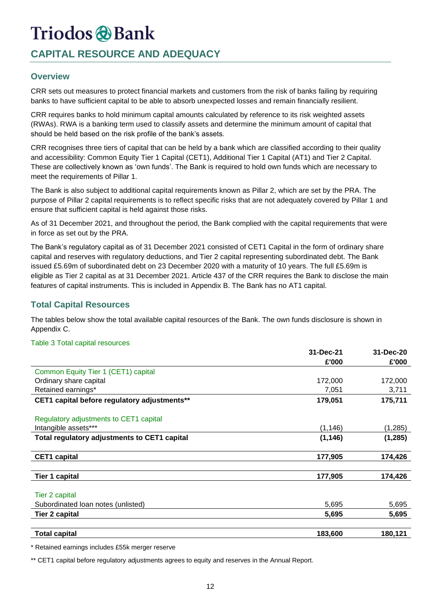### **CAPITAL RESOURCE AND ADEQUACY**

#### <span id="page-11-0"></span>**Overview**

CRR sets out measures to protect financial markets and customers from the risk of banks failing by requiring banks to have sufficient capital to be able to absorb unexpected losses and remain financially resilient.

CRR requires banks to hold minimum capital amounts calculated by reference to its risk weighted assets (RWAs). RWA is a banking term used to classify assets and determine the minimum amount of capital that should be held based on the risk profile of the bank's assets.

CRR recognises three tiers of capital that can be held by a bank which are classified according to their quality and accessibility: Common Equity Tier 1 Capital (CET1), Additional Tier 1 Capital (AT1) and Tier 2 Capital. These are collectively known as 'own funds'. The Bank is required to hold own funds which are necessary to meet the requirements of Pillar 1.

The Bank is also subject to additional capital requirements known as Pillar 2, which are set by the PRA. The purpose of Pillar 2 capital requirements is to reflect specific risks that are not adequately covered by Pillar 1 and ensure that sufficient capital is held against those risks.

As of 31 December 2021, and throughout the period, the Bank complied with the capital requirements that were in force as set out by the PRA.

The Bank's regulatory capital as of 31 December 2021 consisted of CET1 Capital in the form of ordinary share capital and reserves with regulatory deductions, and Tier 2 capital representing subordinated debt. The Bank issued £5.69m of subordinated debt on 23 December 2020 with a maturity of 10 years. The full £5.69m is eligible as Tier 2 capital as at 31 December 2021. Article 437 of the CRR requires the Bank to disclose the main features of capital instruments. This is included in Appendix B. The Bank has no AT1 capital.

#### <span id="page-11-1"></span>**Total Capital Resources**

The tables below show the total available capital resources of the Bank. The own funds disclosure is shown in Appendix C.

#### Table 3 Total capital resources

|                                              | 31-Dec-21 | 31-Dec-20 |
|----------------------------------------------|-----------|-----------|
|                                              | £'000     | £'000     |
| Common Equity Tier 1 (CET1) capital          |           |           |
| Ordinary share capital                       | 172,000   | 172,000   |
| Retained earnings*                           | 7,051     | 3,711     |
| CET1 capital before regulatory adjustments** | 179,051   | 175,711   |
| Regulatory adjustments to CET1 capital       |           |           |
| Intangible assets***                         | (1, 146)  | (1,285)   |
| Total regulatory adjustments to CET1 capital | (1, 146)  | (1, 285)  |
| <b>CET1 capital</b>                          | 177,905   | 174,426   |
| <b>Tier 1 capital</b>                        | 177,905   | 174,426   |
| Tier 2 capital                               |           |           |
| Subordinated Ioan notes (unlisted)           | 5,695     | 5,695     |
| <b>Tier 2 capital</b>                        | 5,695     | 5,695     |
| <b>Total capital</b>                         | 183,600   | 180,121   |

\* Retained earnings includes £55k merger reserve

\*\* CET1 capital before regulatory adjustments agrees to equity and reserves in the Annual Report.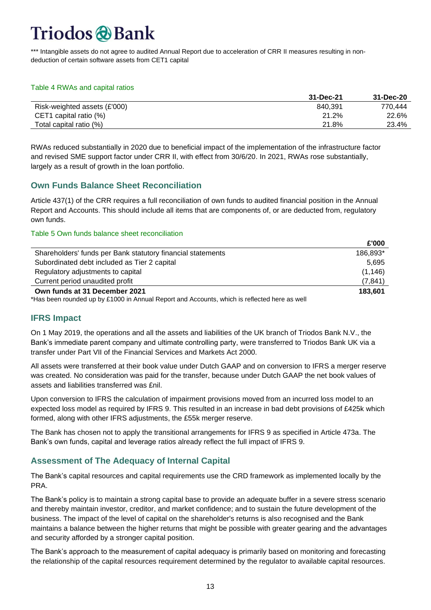\*\*\* Intangible assets do not agree to audited Annual Report due to acceleration of CRR II measures resulting in nondeduction of certain software assets from CET1 capital

#### Table 4 RWAs and capital ratios

|                              | 31-Dec-21 | 31-Dec-20 |
|------------------------------|-----------|-----------|
| Risk-weighted assets (£'000) | 840.391   | 770.444   |
| CET1 capital ratio (%)       | 21.2%     | 22.6%     |
| Total capital ratio (%)      | 21.8%     | 23.4%     |

RWAs reduced substantially in 2020 due to beneficial impact of the implementation of the infrastructure factor and revised SME support factor under CRR II, with effect from 30/6/20. In 2021, RWAs rose substantially, largely as a result of growth in the loan portfolio.

#### <span id="page-12-0"></span>**Own Funds Balance Sheet Reconciliation**

Article 437(1) of the CRR requires a full reconciliation of own funds to audited financial position in the Annual Report and Accounts. This should include all items that are components of, or are deducted from, regulatory own funds.

#### Table 5 Own funds balance sheet reconciliation

|                                                                                              | L UUU    |
|----------------------------------------------------------------------------------------------|----------|
| Shareholders' funds per Bank statutory financial statements                                  | 186,893* |
| Subordinated debt included as Tier 2 capital                                                 | 5.695    |
| Regulatory adjustments to capital                                                            | (1, 146) |
| Current period unaudited profit                                                              | (7, 841) |
| Own funds at 31 December 2021                                                                | 183.601  |
| *Has been rounded up by £1000 in Annual Report and Accounts, which is reflected here as well |          |

**£'000**

#### <span id="page-12-1"></span>**IFRS Impact**

On 1 May 2019, the operations and all the assets and liabilities of the UK branch of Triodos Bank N.V., the Bank's immediate parent company and ultimate controlling party, were transferred to Triodos Bank UK via a transfer under Part VII of the Financial Services and Markets Act 2000.

All assets were transferred at their book value under Dutch GAAP and on conversion to IFRS a merger reserve was created. No consideration was paid for the transfer, because under Dutch GAAP the net book values of assets and liabilities transferred was £nil.

Upon conversion to IFRS the calculation of impairment provisions moved from an incurred loss model to an expected loss model as required by IFRS 9. This resulted in an increase in bad debt provisions of £425k which formed, along with other IFRS adjustments, the £55k merger reserve.

The Bank has chosen not to apply the transitional arrangements for IFRS 9 as specified in Article 473a. The Bank's own funds, capital and leverage ratios already reflect the full impact of IFRS 9.

#### <span id="page-12-2"></span>**Assessment of The Adequacy of Internal Capital**

The Bank's capital resources and capital requirements use the CRD framework as implemented locally by the PRA.

The Bank's policy is to maintain a strong capital base to provide an adequate buffer in a severe stress scenario and thereby maintain investor, creditor, and market confidence; and to sustain the future development of the business. The impact of the level of capital on the shareholder's returns is also recognised and the Bank maintains a balance between the higher returns that might be possible with greater gearing and the advantages and security afforded by a stronger capital position.

The Bank's approach to the measurement of capital adequacy is primarily based on monitoring and forecasting the relationship of the capital resources requirement determined by the regulator to available capital resources.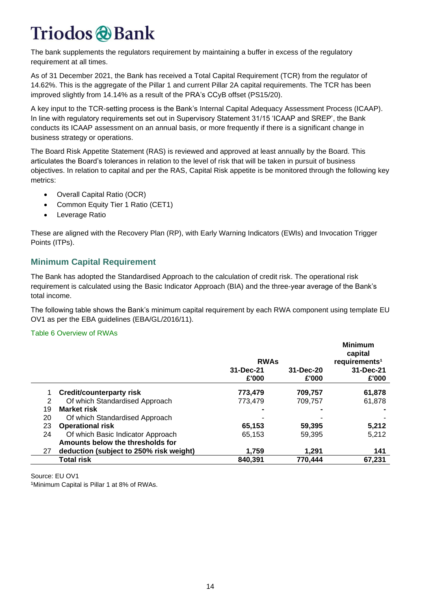The bank supplements the regulators requirement by maintaining a buffer in excess of the regulatory requirement at all times.

As of 31 December 2021, the Bank has received a Total Capital Requirement (TCR) from the regulator of 14.62%. This is the aggregate of the Pillar 1 and current Pillar 2A capital requirements. The TCR has been improved slightly from 14.14% as a result of the PRA's CCyB offset (PS15/20).

A key input to the TCR-setting process is the Bank's Internal Capital Adequacy Assessment Process (ICAAP). In line with regulatory requirements set out in Supervisory Statement 31/15 'ICAAP and SREP', the Bank conducts its ICAAP assessment on an annual basis, or more frequently if there is a significant change in business strategy or operations.

The Board Risk Appetite Statement (RAS) is reviewed and approved at least annually by the Board. This articulates the Board's tolerances in relation to the level of risk that will be taken in pursuit of business objectives. In relation to capital and per the RAS, Capital Risk appetite is be monitored through the following key metrics:

- Overall Capital Ratio (OCR)
- Common Equity Tier 1 Ratio (CET1)
- Leverage Ratio

These are aligned with the Recovery Plan (RP), with Early Warning Indicators (EWIs) and Invocation Trigger Points (ITPs).

#### <span id="page-13-0"></span>**Minimum Capital Requirement**

The Bank has adopted the Standardised Approach to the calculation of credit risk. The operational risk requirement is calculated using the Basic Indicator Approach (BIA) and the three-year average of the Bank's total income.

The following table shows the Bank's minimum capital requirement by each RWA component using template EU OV1 as per the EBA guidelines (EBA/GL/2016/11).

#### Table 6 Overview of RWAs

|    |                                         | <b>RWAs</b>        |                    | <b>Minimum</b><br>capital<br>requirements <sup>1</sup> |
|----|-----------------------------------------|--------------------|--------------------|--------------------------------------------------------|
|    |                                         | 31-Dec-21<br>£'000 | 31-Dec-20<br>£'000 | 31-Dec-21<br>£'000                                     |
|    | Credit/counterparty risk                | 773.479            | 709,757            | 61,878                                                 |
| 2  | Of which Standardised Approach          | 773.479            | 709,757            | 61,878                                                 |
| 19 | <b>Market risk</b>                      |                    |                    |                                                        |
| 20 | Of which Standardised Approach          |                    |                    |                                                        |
| 23 | <b>Operational risk</b>                 | 65,153             | 59,395             | 5,212                                                  |
| 24 | Of which Basic Indicator Approach       | 65,153             | 59,395             | 5,212                                                  |
|    | Amounts below the thresholds for        |                    |                    |                                                        |
| 27 | deduction (subject to 250% risk weight) | 1.759              | 1.291              | 141                                                    |
|    | <b>Total risk</b>                       | 840,391            | 770.444            | 67,231                                                 |

Source: EU OV1 1Minimum Capital is Pillar 1 at 8% of RWAs.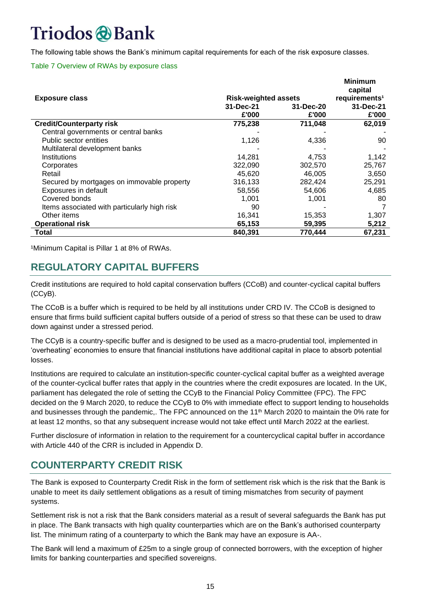The following table shows the Bank's minimum capital requirements for each of the risk exposure classes.

#### Table 7 Overview of RWAs by exposure class

|                                              |                             |           | <b>Minimum</b><br>capital |
|----------------------------------------------|-----------------------------|-----------|---------------------------|
| <b>Exposure class</b>                        | <b>Risk-weighted assets</b> |           | requirements <sup>1</sup> |
|                                              | 31-Dec-21                   | 31-Dec-20 | 31-Dec-21                 |
|                                              | £'000                       | £'000     | £'000                     |
| <b>Credit/Counterparty risk</b>              | 775,238                     | 711,048   | 62,019                    |
| Central governments or central banks         |                             |           |                           |
| Public sector entities                       | 1,126                       | 4,336     | 90                        |
| Multilateral development banks               |                             |           |                           |
| Institutions                                 | 14.281                      | 4,753     | 1,142                     |
| Corporates                                   | 322,090                     | 302,570   | 25,767                    |
| Retail                                       | 45,620                      | 46,005    | 3,650                     |
| Secured by mortgages on immovable property   | 316,133                     | 282,424   | 25,291                    |
| Exposures in default                         | 58,556                      | 54,606    | 4,685                     |
| Covered bonds                                | 1,001                       | 1,001     | 80                        |
| Items associated with particularly high risk | 90                          |           |                           |
| Other items                                  | 16,341                      | 15,353    | 1,307                     |
| <b>Operational risk</b>                      | 65,153                      | 59,395    | 5,212                     |
| Total                                        | 840,391                     | 770,444   | 67,231                    |

1Minimum Capital is Pillar 1 at 8% of RWAs.

### **REGULATORY CAPITAL BUFFERS**

Credit institutions are required to hold capital conservation buffers (CCoB) and counter-cyclical capital buffers (CCyB).

The CCoB is a buffer which is required to be held by all institutions under CRD IV. The CCoB is designed to ensure that firms build sufficient capital buffers outside of a period of stress so that these can be used to draw down against under a stressed period.

The CCyB is a country-specific buffer and is designed to be used as a macro-prudential tool, implemented in 'overheating' economies to ensure that financial institutions have additional capital in place to absorb potential losses.

Institutions are required to calculate an institution-specific counter-cyclical capital buffer as a weighted average of the counter-cyclical buffer rates that apply in the countries where the credit exposures are located. In the UK, parliament has delegated the role of setting the CCyB to the Financial Policy Committee (FPC). The FPC decided on the 9 March 2020, to reduce the CCyB to 0% with immediate effect to support lending to households and businesses through the pandemic,. The FPC announced on the 11<sup>th</sup> March 2020 to maintain the 0% rate for at least 12 months, so that any subsequent increase would not take effect until March 2022 at the earliest.

Further disclosure of information in relation to the requirement for a countercyclical capital buffer in accordance with Article 440 of the CRR is included in Appendix D.

### **COUNTERPARTY CREDIT RISK**

The Bank is exposed to Counterparty Credit Risk in the form of settlement risk which is the risk that the Bank is unable to meet its daily settlement obligations as a result of timing mismatches from security of payment systems.

Settlement risk is not a risk that the Bank considers material as a result of several safeguards the Bank has put in place. The Bank transacts with high quality counterparties which are on the Bank's authorised counterparty list. The minimum rating of a counterparty to which the Bank may have an exposure is AA-.

The Bank will lend a maximum of £25m to a single group of connected borrowers, with the exception of higher limits for banking counterparties and specified sovereigns.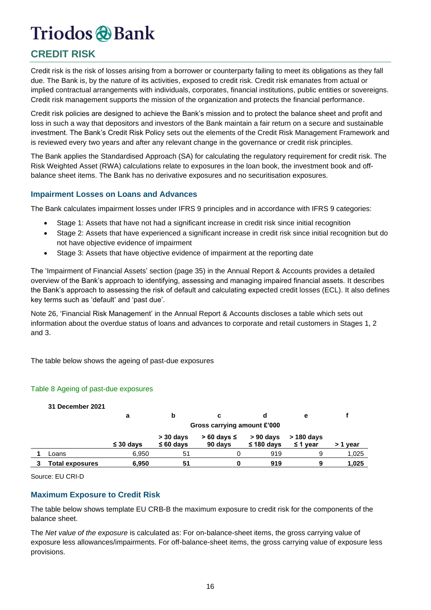### **CREDIT RISK**

Credit risk is the risk of losses arising from a borrower or counterparty failing to meet its obligations as they fall due. The Bank is, by the nature of its activities, exposed to credit risk. Credit risk emanates from actual or implied contractual arrangements with individuals, corporates, financial institutions, public entities or sovereigns. Credit risk management supports the mission of the organization and protects the financial performance.

Credit risk policies are designed to achieve the Bank's mission and to protect the balance sheet and profit and loss in such a way that depositors and investors of the Bank maintain a fair return on a secure and sustainable investment. The Bank's Credit Risk Policy sets out the elements of the Credit Risk Management Framework and is reviewed every two years and after any relevant change in the governance or credit risk principles.

The Bank applies the Standardised Approach (SA) for calculating the regulatory requirement for credit risk. The Risk Weighted Asset (RWA) calculations relate to exposures in the loan book, the investment book and offbalance sheet items. The Bank has no derivative exposures and no securitisation exposures.

#### **Impairment Losses on Loans and Advances**

The Bank calculates impairment losses under IFRS 9 principles and in accordance with IFRS 9 categories:

- Stage 1: Assets that have not had a significant increase in credit risk since initial recognition
- Stage 2: Assets that have experienced a significant increase in credit risk since initial recognition but do not have objective evidence of impairment
- Stage 3: Assets that have objective evidence of impairment at the reporting date

The 'Impairment of Financial Assets' section (page 35) in the Annual Report & Accounts provides a detailed overview of the Bank's approach to identifying, assessing and managing impaired financial assets. It describes the Bank's approach to assessing the risk of default and calculating expected credit losses (ECL). It also defines key terms such as 'default' and 'past due'.

Note 26, 'Financial Risk Management' in the Annual Report & Accounts discloses a table which sets out information about the overdue status of loans and advances to corporate and retail customers in Stages 1, 2 and 3.

The table below shows the ageing of past-due exposures

#### Table 8 Ageing of past-due exposures

| 31 December 2021       |                |                               |                               |                                |                               |          |
|------------------------|----------------|-------------------------------|-------------------------------|--------------------------------|-------------------------------|----------|
|                        | а              | b                             | c                             | d                              | е                             |          |
|                        |                | Gross carrying amount £'000   |                               |                                |                               |          |
|                        | $\leq 30$ days | $>$ 30 days<br>$\leq 60$ days | $> 60$ days $\leq$<br>90 days | $> 90$ days<br>$\leq$ 180 days | $>$ 180 days<br>$\leq$ 1 year | > 1 year |
| Loans                  | 6,950          | 51                            | ი                             | 919                            | 9                             | 1,025    |
| <b>Fotal exposures</b> | 6,950          | 51                            | o                             | 919                            | 9                             | 1,025    |

Source: EU CRI-D

#### **Maximum Exposure to Credit Risk**

The table below shows template EU CRB-B the maximum exposure to credit risk for the components of the balance sheet.

The *Net value of the exposure* is calculated as: For on-balance-sheet items, the gross carrying value of exposure less allowances/impairments. For off-balance-sheet items, the gross carrying value of exposure less provisions.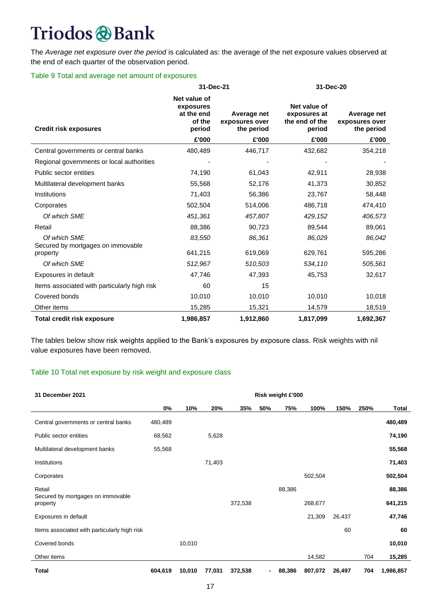The *Average net exposure over the period* is calculated as: the average of the net exposure values observed at the end of each quarter of the observation period.

#### Table 9 Total and average net amount of exposures

|                                                   | 31-Dec-21                                                   |                                             | 31-Dec-20                                                |                                             |  |  |
|---------------------------------------------------|-------------------------------------------------------------|---------------------------------------------|----------------------------------------------------------|---------------------------------------------|--|--|
| <b>Credit risk exposures</b>                      | Net value of<br>exposures<br>at the end<br>of the<br>period | Average net<br>exposures over<br>the period | Net value of<br>exposures at<br>the end of the<br>period | Average net<br>exposures over<br>the period |  |  |
|                                                   | £'000                                                       | £'000                                       | £'000                                                    | £'000                                       |  |  |
| Central governments or central banks              | 480,489                                                     | 446,717                                     | 432,682                                                  | 354,218                                     |  |  |
| Regional governments or local authorities         |                                                             |                                             |                                                          |                                             |  |  |
| Public sector entities                            | 74,190                                                      | 61,043                                      | 42,911                                                   | 28,938                                      |  |  |
| Multilateral development banks                    | 55,568                                                      | 52,176                                      | 41,373                                                   | 30,852                                      |  |  |
| Institutions                                      | 71,403                                                      | 56,386                                      | 23,767                                                   | 58,448                                      |  |  |
| Corporates                                        | 502,504                                                     | 514,006                                     | 486,718                                                  | 474,410                                     |  |  |
| Of which SME                                      | 451,361                                                     | 457,807                                     | 429,152                                                  | 406,573                                     |  |  |
| Retail                                            | 88,386                                                      | 90,723                                      | 89,544                                                   | 89,061                                      |  |  |
| Of which SME<br>Secured by mortgages on immovable | 83,550                                                      | 86,361                                      | 86,029                                                   | 86,042                                      |  |  |
| property                                          | 641,215                                                     | 619,069                                     | 629,761                                                  | 595,286                                     |  |  |
| Of which SME                                      | 512,967                                                     | 510,503                                     | 534,110                                                  | 505,561                                     |  |  |
| Exposures in default                              | 47,746                                                      | 47,393                                      | 45,753                                                   | 32,617                                      |  |  |
| Items associated with particularly high risk      | 60                                                          | 15                                          |                                                          |                                             |  |  |
| Covered bonds                                     | 10,010                                                      | 10,010                                      | 10,010                                                   | 10,018                                      |  |  |
| Other items                                       | 15,285                                                      | 15,321                                      | 14,579                                                   | 18,519                                      |  |  |
| Total credit risk exposure                        | 1,986,857                                                   | 1,912,860                                   | 1,817,099                                                | 1,692,367                                   |  |  |

The tables below show risk weights applied to the Bank's exposures by exposure class. Risk weights with nil value exposures have been removed.

#### Table 10 Total net exposure by risk weight and exposure class

| 31 December 2021                              | Risk weight £'000 |        |        |         |                          |        |         |        |      |           |
|-----------------------------------------------|-------------------|--------|--------|---------|--------------------------|--------|---------|--------|------|-----------|
|                                               | 0%                | 10%    | 20%    | 35%     | 50%                      | 75%    | 100%    | 150%   | 250% | Total     |
| Central governments or central banks          | 480,489           |        |        |         |                          |        |         |        |      | 480,489   |
| Public sector entities                        | 68,562            |        | 5,628  |         |                          |        |         |        |      | 74,190    |
| Multilateral development banks                | 55,568            |        |        |         |                          |        |         |        |      | 55,568    |
| Institutions                                  |                   |        | 71,403 |         |                          |        |         |        |      | 71,403    |
| Corporates                                    |                   |        |        |         |                          |        | 502,504 |        |      | 502,504   |
| Retail                                        |                   |        |        |         |                          | 88,386 |         |        |      | 88,386    |
| Secured by mortgages on immovable<br>property |                   |        |        | 372,538 |                          |        | 268,677 |        |      | 641,215   |
| Exposures in default                          |                   |        |        |         |                          |        | 21,309  | 26,437 |      | 47,746    |
| Items associated with particularly high risk  |                   |        |        |         |                          |        |         | 60     |      | 60        |
| Covered bonds                                 |                   | 10,010 |        |         |                          |        |         |        |      | 10,010    |
| Other items                                   |                   |        |        |         |                          |        | 14,582  |        | 704  | 15,285    |
| <b>Total</b>                                  | 604,619           | 10,010 | 77,031 | 372,538 | $\overline{\phantom{0}}$ | 88,386 | 807,072 | 26,497 | 704  | 1,986,857 |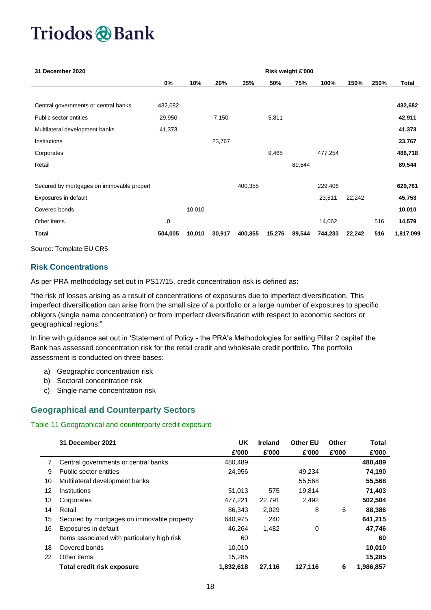| 31 December 2020                          |         |        |        |         |        | Risk weight £'000 |         |        |      |           |
|-------------------------------------------|---------|--------|--------|---------|--------|-------------------|---------|--------|------|-----------|
|                                           | 0%      | 10%    | 20%    | 35%     | 50%    | 75%               | 100%    | 150%   | 250% | Total     |
|                                           |         |        |        |         |        |                   |         |        |      |           |
| Central governments or central banks      | 432,682 |        |        |         |        |                   |         |        |      | 432,682   |
| Public sector entities                    | 29,950  |        | 7,150  |         | 5,811  |                   |         |        |      | 42,911    |
| Multilateral development banks            | 41,373  |        |        |         |        |                   |         |        |      | 41,373    |
| Institutions                              |         |        | 23,767 |         |        |                   |         |        |      | 23,767    |
| Corporates                                |         |        |        |         | 9,465  |                   | 477,254 |        |      | 486,718   |
| Retail                                    |         |        |        |         |        | 89,544            |         |        |      | 89,544    |
|                                           |         |        |        |         |        |                   |         |        |      |           |
| Secured by mortgages on immovable propert |         |        |        | 400,355 |        |                   | 229,406 |        |      | 629,761   |
| Exposures in default                      |         |        |        |         |        |                   | 23,511  | 22,242 |      | 45,753    |
| Covered bonds                             |         | 10,010 |        |         |        |                   |         |        |      | 10,010    |
| Other items                               | 0       |        |        |         |        |                   | 14,062  |        | 516  | 14,579    |
| <b>Total</b>                              | 504,005 | 10,010 | 30,917 | 400,355 | 15,276 | 89,544            | 744,233 | 22,242 | 516  | 1,817,099 |

Source: Template EU CR5

#### **Risk Concentrations**

As per PRA methodology set out in PS17/15, credit concentration risk is defined as:

"the risk of losses arising as a result of concentrations of exposures due to imperfect diversification. This imperfect diversification can arise from the small size of a portfolio or a large number of exposures to specific obligors (single name concentration) or from imperfect diversification with respect to economic sectors or geographical regions."

In line with guidance set out in 'Statement of Policy - the PRA's Methodologies for setting Pillar 2 capital' the Bank has assessed concentration risk for the retail credit and wholesale credit portfolio. The portfolio assessment is conducted on three bases:

- a) Geographic concentration risk
- b) Sectoral concentration risk
- c) Single name concentration risk

#### <span id="page-17-0"></span>**Geographical and Counterparty Sectors**

#### Table 11 Geographical and counterparty credit exposure

|    | 31 December 2021                             | UK        | <b>Ireland</b> | <b>Other EU</b> | Other | <b>Total</b> |
|----|----------------------------------------------|-----------|----------------|-----------------|-------|--------------|
|    |                                              | £'000     | £'000          | £'000           | £'000 | £'000        |
|    | Central governments or central banks         | 480,489   |                |                 |       | 480,489      |
| 9  | Public sector entities                       | 24,956    |                | 49,234          |       | 74,190       |
| 10 | Multilateral development banks               |           |                | 55,568          |       | 55,568       |
| 12 | Institutions                                 | 51,013    | 575            | 19,814          |       | 71,403       |
| 13 | Corporates                                   | 477,221   | 22,791         | 2,492           |       | 502,504      |
| 14 | Retail                                       | 86,343    | 2,029          | 8               | 6     | 88,386       |
| 15 | Secured by mortgages on immovable property   | 640,975   | 240            |                 |       | 641,215      |
| 16 | Exposures in default                         | 46.264    | 1,482          | 0               |       | 47,746       |
|    | Items associated with particularly high risk | 60        |                |                 |       | 60           |
| 18 | Covered bonds                                | 10,010    |                |                 |       | 10,010       |
| 22 | Other items                                  | 15,285    |                |                 |       | 15,285       |
|    | <b>Total credit risk exposure</b>            | 1,832,618 | 27,116         | 127,116         | 6     | 1,986,857    |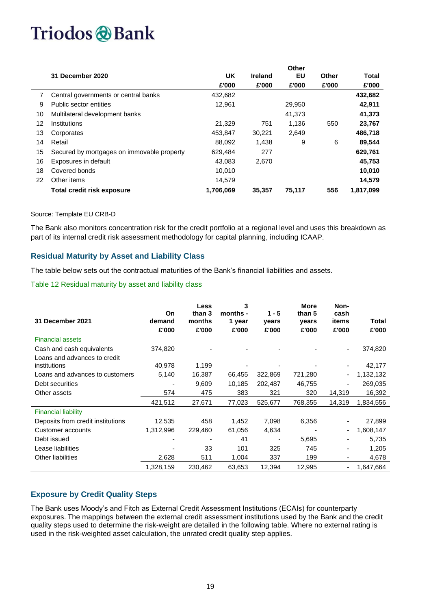|    |                                            |           |                | Other  |       |           |
|----|--------------------------------------------|-----------|----------------|--------|-------|-----------|
|    | 31 December 2020                           | UK        | <b>Ireland</b> | EU     | Other | Total     |
|    |                                            | £'000     | £'000          | £'000  | £'000 | £'000     |
|    | Central governments or central banks       | 432,682   |                |        |       | 432,682   |
| 9  | Public sector entities                     | 12.961    |                | 29,950 |       | 42,911    |
| 10 | Multilateral development banks             |           |                | 41,373 |       | 41,373    |
| 12 | Institutions                               | 21,329    | 751            | 1,136  | 550   | 23,767    |
| 13 | Corporates                                 | 453.847   | 30.221         | 2,649  |       | 486,718   |
| 14 | Retail                                     | 88.092    | 1.438          | 9      | 6     | 89,544    |
| 15 | Secured by mortgages on immovable property | 629.484   | 277            |        |       | 629,761   |
| 16 | Exposures in default                       | 43.083    | 2,670          |        |       | 45,753    |
| 18 | Covered bonds                              | 10,010    |                |        |       | 10,010    |
| 22 | Other items                                | 14,579    |                |        |       | 14,579    |
|    | <b>Total credit risk exposure</b>          | 1,706,069 | 35.357         | 75.117 | 556   | 1.817.099 |

#### Source: Template EU CRB-D

The Bank also monitors concentration risk for the credit portfolio at a regional level and uses this breakdown as part of its internal credit risk assessment methodology for capital planning, including ICAAP.

#### **Residual Maturity by Asset and Liability Class**

The table below sets out the contractual maturities of the Bank's financial liabilities and assets.

#### Table 12 Residual maturity by asset and liability class

| 31 December 2021                             | On<br>demand<br>£'000 | <b>Less</b><br>than 3<br>months<br>£'000 | 3<br>months -<br>1 year<br>£'000 | $1 - 5$<br>years<br>£'000 | <b>More</b><br>than 5<br>years<br>£'000 | Non-<br>cash<br>items<br>£'000 | Total<br>£'000 |
|----------------------------------------------|-----------------------|------------------------------------------|----------------------------------|---------------------------|-----------------------------------------|--------------------------------|----------------|
| <b>Financial assets</b>                      |                       |                                          |                                  |                           |                                         |                                |                |
| Cash and cash equivalents                    | 374,820               |                                          |                                  |                           |                                         |                                | 374,820        |
| Loans and advances to credit<br>institutions | 40,978                | 1,199                                    |                                  |                           |                                         |                                | 42,177         |
| Loans and advances to customers              | 5,140                 | 16,387                                   | 66,455                           | 322,869                   | 721,280                                 |                                | 1,132,132      |
| Debt securities                              |                       | 9,609                                    | 10,185                           | 202,487                   | 46,755                                  |                                | 269,035        |
| Other assets                                 | 574                   | 475                                      | 383                              | 321                       | 320                                     | 14,319                         | 16,392         |
|                                              | 421,512               | 27,671                                   | 77,023                           | 525,677                   | 768,355                                 | 14,319                         | 1,834,556      |
| <b>Financial liability</b>                   |                       |                                          |                                  |                           |                                         |                                |                |
| Deposits from credit institutions            | 12,535                | 458                                      | 1,452                            | 7,098                     | 6,356                                   |                                | 27,899         |
| Customer accounts                            | 1,312,996             | 229,460                                  | 61,056                           | 4,634                     |                                         |                                | 1,608,147      |
| Debt issued                                  |                       |                                          | 41                               |                           | 5,695                                   |                                | 5,735          |
| Lease liabilities                            |                       | 33                                       | 101                              | 325                       | 745                                     |                                | 1,205          |
| Other liabilities                            | 2,628                 | 511                                      | 1,004                            | 337                       | 199                                     |                                | 4,678          |
|                                              | 1,328,159             | 230,462                                  | 63,653                           | 12,394                    | 12,995                                  |                                | 1,647,664      |

#### **Exposure by Credit Quality Steps**

The Bank uses Moody's and Fitch as External Credit Assessment Institutions (ECAIs) for counterparty exposures. The mappings between the external credit assessment institutions used by the Bank and the credit quality steps used to determine the risk-weight are detailed in the following table. Where no external rating is used in the risk-weighted asset calculation, the unrated credit quality step applies.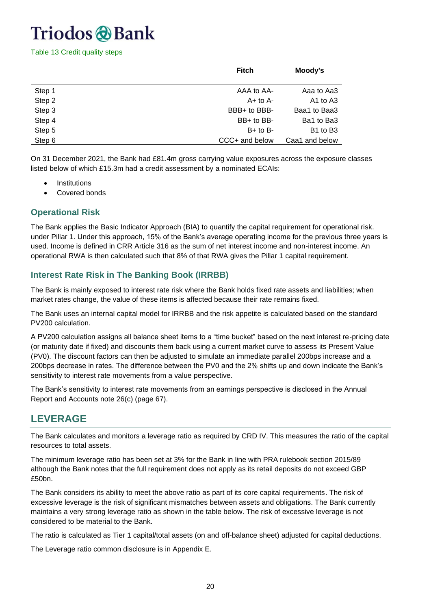Table 13 Credit quality steps

|        | <b>Fitch</b>   | Moody's                          |
|--------|----------------|----------------------------------|
| Step 1 | AAA to AA-     | Aaa to Aa3                       |
| Step 2 | $A+$ to $A-$   | A1 to A3                         |
| Step 3 | BBB+ to BBB-   | Baa1 to Baa3                     |
| Step 4 | BB+ to BB-     | Ba1 to Ba3                       |
| Step 5 | $B+$ to $B-$   | B <sub>1</sub> to B <sub>3</sub> |
| Step 6 | CCC+ and below | Caa1 and below                   |

On 31 December 2021, the Bank had £81.4m gross carrying value exposures across the exposure classes listed below of which £15.3m had a credit assessment by a nominated ECAIs:

- **Institutions**
- Covered bonds

#### <span id="page-19-0"></span>**Operational Risk**

The Bank applies the Basic Indicator Approach (BIA) to quantify the capital requirement for operational risk. under Pillar 1. Under this approach, 15% of the Bank's average operating income for the previous three years is used. Income is defined in CRR Article 316 as the sum of net interest income and non-interest income. An operational RWA is then calculated such that 8% of that RWA gives the Pillar 1 capital requirement.

#### <span id="page-19-1"></span>**Interest Rate Risk in The Banking Book (IRRBB)**

The Bank is mainly exposed to interest rate risk where the Bank holds fixed rate assets and liabilities; when market rates change, the value of these items is affected because their rate remains fixed.

The Bank uses an internal capital model for IRRBB and the risk appetite is calculated based on the standard PV200 calculation.

A PV200 calculation assigns all balance sheet items to a "time bucket" based on the next interest re-pricing date (or maturity date if fixed) and discounts them back using a current market curve to assess its Present Value (PV0). The discount factors can then be adjusted to simulate an immediate parallel 200bps increase and a 200bps decrease in rates. The difference between the PV0 and the 2% shifts up and down indicate the Bank's sensitivity to interest rate movements from a value perspective.

The Bank's sensitivity to interest rate movements from an earnings perspective is disclosed in the Annual Report and Accounts note 26(c) (page 67).

### **LEVERAGE**

The Bank calculates and monitors a leverage ratio as required by CRD IV. This measures the ratio of the capital resources to total assets.

The minimum leverage ratio has been set at 3% for the Bank in line with PRA rulebook section 2015/89 although the Bank notes that the full requirement does not apply as its retail deposits do not exceed GBP £50bn.

The Bank considers its ability to meet the above ratio as part of its core capital requirements. The risk of excessive leverage is the risk of significant mismatches between assets and obligations. The Bank currently maintains a very strong leverage ratio as shown in the table below. The risk of excessive leverage is not considered to be material to the Bank.

The ratio is calculated as Tier 1 capital/total assets (on and off-balance sheet) adjusted for capital deductions.

The Leverage ratio common disclosure is in Appendix E.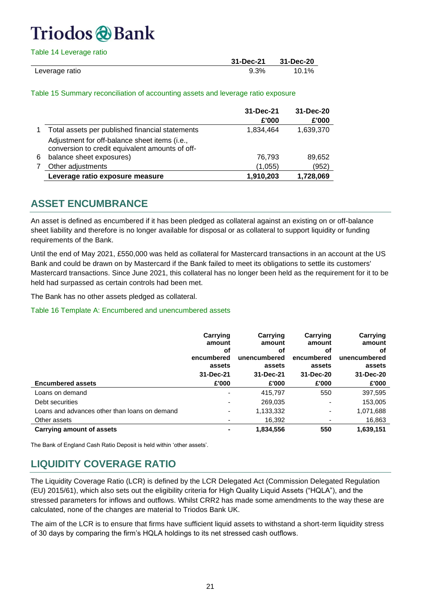| Table 14 Leverage ratio |           |           |
|-------------------------|-----------|-----------|
|                         | 31-Dec-21 | 31-Dec-20 |
| Leverage ratio          | $9.3\%$   | 10.1%     |

Table 15 Summary reconciliation of accounting assets and leverage ratio exposure

|   |                                                                                                  | 31-Dec-21<br>£'000 | 31-Dec-20<br>£'000 |
|---|--------------------------------------------------------------------------------------------------|--------------------|--------------------|
|   | Total assets per published financial statements                                                  | 1,834,464          | 1,639,370          |
|   | Adjustment for off-balance sheet items (i.e.,<br>conversion to credit equivalent amounts of off- |                    |                    |
| 6 | balance sheet exposures)                                                                         | 76,793             | 89,652             |
|   | Other adjustments                                                                                | (1,055)            | (952)              |
|   | Leverage ratio exposure measure                                                                  | 1,910,203          | 1,728,069          |

### **ASSET ENCUMBRANCE**

An asset is defined as encumbered if it has been pledged as collateral against an existing on or off-balance sheet liability and therefore is no longer available for disposal or as collateral to support liquidity or funding requirements of the Bank.

Until the end of May 2021, £550,000 was held as collateral for Mastercard transactions in an account at the US Bank and could be drawn on by Mastercard if the Bank failed to meet its obligations to settle its customers' Mastercard transactions. Since June 2021, this collateral has no longer been held as the requirement for it to be held had surpassed as certain controls had been met.

The Bank has no other assets pledged as collateral.

#### Table 16 Template A: Encumbered and unencumbered assets

|                                               | Carrying<br>amount<br>оf<br>encumbered<br>assets<br>31-Dec-21 | Carrying<br>amount<br>оf<br>unencumbered<br>assets<br>31-Dec-21 | Carrying<br>amount<br>оf<br>encumbered<br>assets<br>31-Dec-20 | Carrying<br>amount<br>оf<br>unencumbered<br>assets<br>31-Dec-20 |
|-----------------------------------------------|---------------------------------------------------------------|-----------------------------------------------------------------|---------------------------------------------------------------|-----------------------------------------------------------------|
| <b>Encumbered assets</b>                      | £'000                                                         | £'000                                                           | £'000                                                         | £'000                                                           |
| Loans on demand                               |                                                               | 415,797                                                         | 550                                                           | 397,595                                                         |
| Debt securities                               |                                                               | 269,035                                                         | ٠                                                             | 153,005                                                         |
| Loans and advances other than loans on demand |                                                               | 1,133,332                                                       | ٠                                                             | 1,071,688                                                       |
| Other assets                                  |                                                               | 16,392                                                          | ٠                                                             | 16,863                                                          |
| Carrying amount of assets                     |                                                               | 1,834,556                                                       | 550                                                           | 1,639,151                                                       |

The Bank of England Cash Ratio Deposit is held within 'other assets'.

### **LIQUIDITY COVERAGE RATIO**

The Liquidity Coverage Ratio (LCR) is defined by the LCR Delegated Act (Commission Delegated Regulation (EU) 2015/61), which also sets out the eligibility criteria for High Quality Liquid Assets ("HQLA"), and the stressed parameters for inflows and outflows. Whilst CRR2 has made some amendments to the way these are calculated, none of the changes are material to Triodos Bank UK.

The aim of the LCR is to ensure that firms have sufficient liquid assets to withstand a short-term liquidity stress of 30 days by comparing the firm's HQLA holdings to its net stressed cash outflows.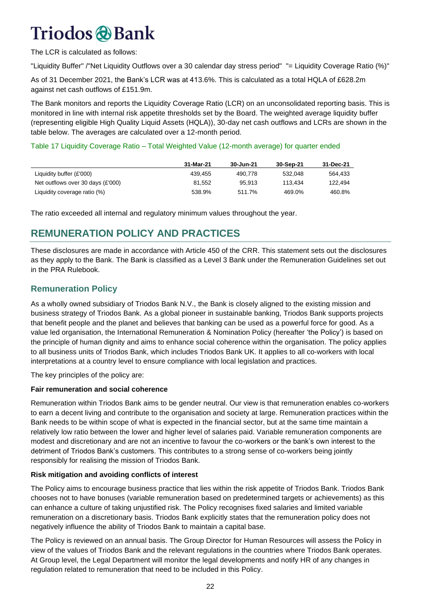The LCR is calculated as follows:

"Liquidity Buffer" /"Net Liquidity Outflows over a 30 calendar day stress period" "= Liquidity Coverage Ratio (%)"

As of 31 December 2021, the Bank's LCR was at 413.6%. This is calculated as a total HQLA of £628.2m against net cash outflows of £151.9m.

The Bank monitors and reports the Liquidity Coverage Ratio (LCR) on an unconsolidated reporting basis. This is monitored in line with internal risk appetite thresholds set by the Board. The weighted average liquidity buffer (representing eligible High Quality Liquid Assets (HQLA)), 30-day net cash outflows and LCRs are shown in the table below. The averages are calculated over a 12-month period.

#### Table 17 Liquidity Coverage Ratio – Total Weighted Value (12-month average) for quarter ended

|                                   | 31-Mar-21 | 30-Jun-21 | 30-Sep-21 | 31-Dec-21 |
|-----------------------------------|-----------|-----------|-----------|-----------|
| Liquidity buffer $(E'000)$        | 439.455   | 490.778   | 532.048   | 564.433   |
| Net outflows over 30 days (£'000) | 81.552    | 95.913    | 113.434   | 122.494   |
| Liquidity coverage ratio (%)      | 538.9%    | 511.7%    | 469.0%    | 460.8%    |

The ratio exceeded all internal and regulatory minimum values throughout the year.

### **REMUNERATION POLICY AND PRACTICES**

These disclosures are made in accordance with Article 450 of the CRR. This statement sets out the disclosures as they apply to the Bank. The Bank is classified as a Level 3 Bank under the Remuneration Guidelines set out in the PRA Rulebook.

#### <span id="page-21-0"></span>**Remuneration Policy**

As a wholly owned subsidiary of Triodos Bank N.V., the Bank is closely aligned to the existing mission and business strategy of Triodos Bank. As a global pioneer in sustainable banking, Triodos Bank supports projects that benefit people and the planet and believes that banking can be used as a powerful force for good. As a value led organisation, the International Remuneration & Nomination Policy (hereafter 'the Policy') is based on the principle of human dignity and aims to enhance social coherence within the organisation. The policy applies to all business units of Triodos Bank, which includes Triodos Bank UK. It applies to all co-workers with local interpretations at a country level to ensure compliance with local legislation and practices.

The key principles of the policy are:

#### **Fair remuneration and social coherence**

Remuneration within Triodos Bank aims to be gender neutral. Our view is that remuneration enables co-workers to earn a decent living and contribute to the organisation and society at large. Remuneration practices within the Bank needs to be within scope of what is expected in the financial sector, but at the same time maintain a relatively low ratio between the lower and higher level of salaries paid. Variable remuneration components are modest and discretionary and are not an incentive to favour the co-workers or the bank's own interest to the detriment of Triodos Bank's customers. This contributes to a strong sense of co-workers being jointly responsibly for realising the mission of Triodos Bank.

#### **Risk mitigation and avoiding conflicts of interest**

The Policy aims to encourage business practice that lies within the risk appetite of Triodos Bank. Triodos Bank chooses not to have bonuses (variable remuneration based on predetermined targets or achievements) as this can enhance a culture of taking unjustified risk. The Policy recognises fixed salaries and limited variable remuneration on a discretionary basis. Triodos Bank explicitly states that the remuneration policy does not negatively influence the ability of Triodos Bank to maintain a capital base.

The Policy is reviewed on an annual basis. The Group Director for Human Resources will assess the Policy in view of the values of Triodos Bank and the relevant regulations in the countries where Triodos Bank operates. At Group level, the Legal Department will monitor the legal developments and notify HR of any changes in regulation related to remuneration that need to be included in this Policy.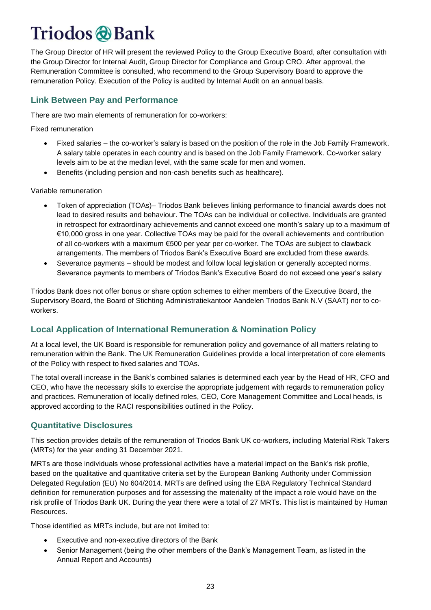The Group Director of HR will present the reviewed Policy to the Group Executive Board, after consultation with the Group Director for Internal Audit, Group Director for Compliance and Group CRO. After approval, the Remuneration Committee is consulted, who recommend to the Group Supervisory Board to approve the remuneration Policy. Execution of the Policy is audited by Internal Audit on an annual basis.

#### <span id="page-22-0"></span>**Link Between Pay and Performance**

There are two main elements of remuneration for co-workers:

Fixed remuneration

- Fixed salaries the co-worker's salary is based on the position of the role in the Job Family Framework. A salary table operates in each country and is based on the Job Family Framework. Co-worker salary levels aim to be at the median level, with the same scale for men and women.
- Benefits (including pension and non-cash benefits such as healthcare).

Variable remuneration

- Token of appreciation (TOAs)– Triodos Bank believes linking performance to financial awards does not lead to desired results and behaviour. The TOAs can be individual or collective. Individuals are granted in retrospect for extraordinary achievements and cannot exceed one month's salary up to a maximum of €10,000 gross in one year. Collective TOAs may be paid for the overall achievements and contribution of all co-workers with a maximum €500 per year per co-worker. The TOAs are subject to clawback arrangements. The members of Triodos Bank's Executive Board are excluded from these awards.
- Severance payments should be modest and follow local legislation or generally accepted norms. Severance payments to members of Triodos Bank's Executive Board do not exceed one year's salary

Triodos Bank does not offer bonus or share option schemes to either members of the Executive Board, the Supervisory Board, the Board of Stichting Administratiekantoor Aandelen Triodos Bank N.V (SAAT) nor to coworkers.

#### <span id="page-22-1"></span>**Local Application of International Remuneration & Nomination Policy**

At a local level, the UK Board is responsible for remuneration policy and governance of all matters relating to remuneration within the Bank. The UK Remuneration Guidelines provide a local interpretation of core elements of the Policy with respect to fixed salaries and TOAs.

The total overall increase in the Bank's combined salaries is determined each year by the Head of HR, CFO and CEO, who have the necessary skills to exercise the appropriate judgement with regards to remuneration policy and practices. Remuneration of locally defined roles, CEO, Core Management Committee and Local heads, is approved according to the RACI responsibilities outlined in the Policy.

#### <span id="page-22-2"></span>**Quantitative Disclosures**

This section provides details of the remuneration of Triodos Bank UK co-workers, including Material Risk Takers (MRTs) for the year ending 31 December 2021.

MRTs are those individuals whose professional activities have a material impact on the Bank's risk profile, based on the qualitative and quantitative criteria set by the European Banking Authority under Commission Delegated Regulation (EU) No 604/2014. MRTs are defined using the EBA Regulatory Technical Standard definition for remuneration purposes and for assessing the materiality of the impact a role would have on the risk profile of Triodos Bank UK. During the year there were a total of 27 MRTs. This list is maintained by Human Resources.

Those identified as MRTs include, but are not limited to:

- Executive and non-executive directors of the Bank
- Senior Management (being the other members of the Bank's Management Team, as listed in the Annual Report and Accounts)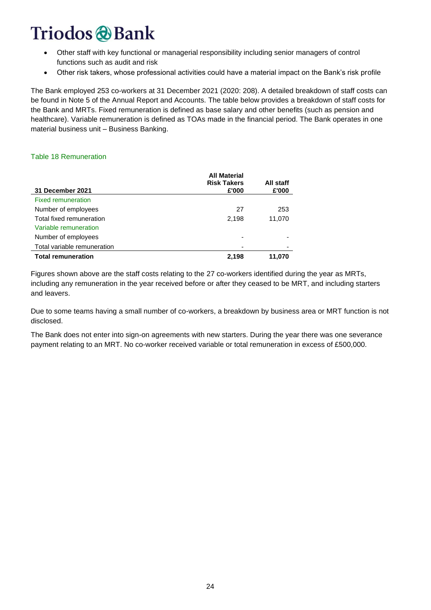- Other staff with key functional or managerial responsibility including senior managers of control functions such as audit and risk
- Other risk takers, whose professional activities could have a material impact on the Bank's risk profile

The Bank employed 253 co-workers at 31 December 2021 (2020: 208). A detailed breakdown of staff costs can be found in Note 5 of the Annual Report and Accounts. The table below provides a breakdown of staff costs for the Bank and MRTs. Fixed remuneration is defined as base salary and other benefits (such as pension and healthcare). Variable remuneration is defined as TOAs made in the financial period. The Bank operates in one material business unit – Business Banking.

#### Table 18 Remuneration

|                             | <b>All Material</b><br><b>Risk Takers</b> | All staff |
|-----------------------------|-------------------------------------------|-----------|
| 31 December 2021            | £'000                                     | £'000     |
| <b>Fixed remuneration</b>   |                                           |           |
| Number of employees         | 27                                        | 253       |
| Total fixed remuneration    | 2,198                                     | 11,070    |
| Variable remuneration       |                                           |           |
| Number of employees         |                                           |           |
| Total variable remuneration |                                           |           |
| <b>Total remuneration</b>   | 2,198                                     | 11,070    |

Figures shown above are the staff costs relating to the 27 co-workers identified during the year as MRTs, including any remuneration in the year received before or after they ceased to be MRT, and including starters and leavers.

Due to some teams having a small number of co-workers, a breakdown by business area or MRT function is not disclosed.

The Bank does not enter into sign-on agreements with new starters. During the year there was one severance payment relating to an MRT. No co-worker received variable or total remuneration in excess of £500,000.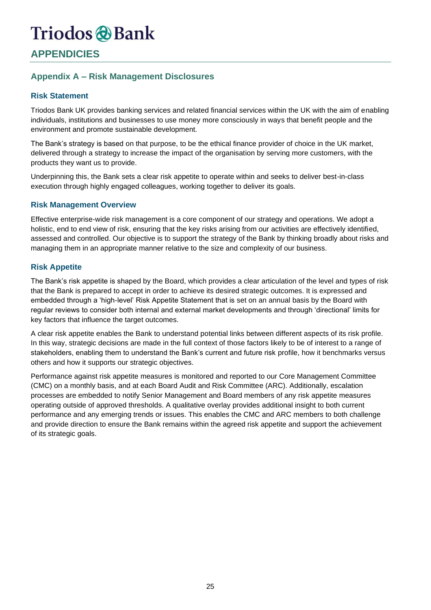### **APPENDICIES**

#### <span id="page-24-0"></span>**Appendix A – Risk Management Disclosures**

#### **Risk Statement**

Triodos Bank UK provides banking services and related financial services within the UK with the aim of enabling individuals, institutions and businesses to use money more consciously in ways that benefit people and the environment and promote sustainable development.

The Bank's strategy is based on that purpose, to be the ethical finance provider of choice in the UK market, delivered through a strategy to increase the impact of the organisation by serving more customers, with the products they want us to provide.

Underpinning this, the Bank sets a clear risk appetite to operate within and seeks to deliver best-in-class execution through highly engaged colleagues, working together to deliver its goals.

#### **Risk Management Overview**

Effective enterprise-wide risk management is a core component of our strategy and operations. We adopt a holistic, end to end view of risk, ensuring that the key risks arising from our activities are effectively identified, assessed and controlled. Our objective is to support the strategy of the Bank by thinking broadly about risks and managing them in an appropriate manner relative to the size and complexity of our business.

#### **Risk Appetite**

The Bank's risk appetite is shaped by the Board, which provides a clear articulation of the level and types of risk that the Bank is prepared to accept in order to achieve its desired strategic outcomes. It is expressed and embedded through a 'high-level' Risk Appetite Statement that is set on an annual basis by the Board with regular reviews to consider both internal and external market developments and through 'directional' limits for key factors that influence the target outcomes.

A clear risk appetite enables the Bank to understand potential links between different aspects of its risk profile. In this way, strategic decisions are made in the full context of those factors likely to be of interest to a range of stakeholders, enabling them to understand the Bank's current and future risk profile, how it benchmarks versus others and how it supports our strategic objectives.

Performance against risk appetite measures is monitored and reported to our Core Management Committee (CMC) on a monthly basis, and at each Board Audit and Risk Committee (ARC). Additionally, escalation processes are embedded to notify Senior Management and Board members of any risk appetite measures operating outside of approved thresholds. A qualitative overlay provides additional insight to both current performance and any emerging trends or issues. This enables the CMC and ARC members to both challenge and provide direction to ensure the Bank remains within the agreed risk appetite and support the achievement of its strategic goals.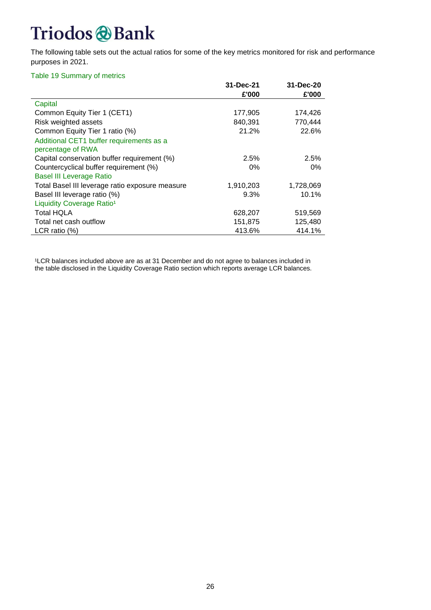# Triodos & Bank

The following table sets out the actual ratios for some of the key metrics monitored for risk and performance purposes in 2021.

#### Table 19 Summary of metrics

|                                                 | 31-Dec-21 | 31-Dec-20 |
|-------------------------------------------------|-----------|-----------|
|                                                 | £'000     | £'000     |
| Capital                                         |           |           |
| Common Equity Tier 1 (CET1)                     | 177,905   | 174,426   |
| Risk weighted assets                            | 840,391   | 770,444   |
| Common Equity Tier 1 ratio (%)                  | 21.2%     | 22.6%     |
| Additional CET1 buffer requirements as a        |           |           |
| percentage of RWA                               |           |           |
| Capital conservation buffer requirement (%)     | 2.5%      | 2.5%      |
| Countercyclical buffer requirement (%)          | 0%        | $0\%$     |
| <b>Basel III Leverage Ratio</b>                 |           |           |
| Total Basel III leverage ratio exposure measure | 1,910,203 | 1,728,069 |
| Basel III leverage ratio (%)                    | 9.3%      | 10.1%     |
| Liquidity Coverage Ratio <sup>1</sup>           |           |           |
| <b>Total HQLA</b>                               | 628,207   | 519,569   |
| Total net cash outflow                          | 151,875   | 125,480   |
| LCR ratio $(\%)$                                | 413.6%    | 414.1%    |

<sup>1</sup>LCR balances included above are as at 31 December and do not agree to balances included in the table disclosed in the Liquidity Coverage Ratio section which reports average LCR balances.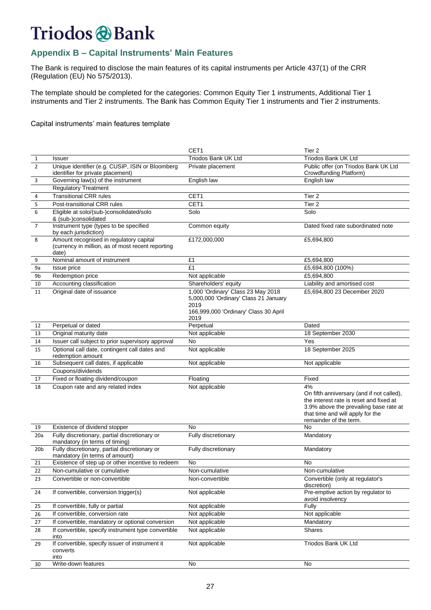### <span id="page-26-0"></span>**Appendix B – Capital Instruments' Main Features**

The Bank is required to disclose the main features of its capital instruments per Article 437(1) of the CRR  $(Regulation (EU) No 575/2013).$ 

The template should be completed for the categories: Common Equity Tier 1 instruments, Additional Tier 1 instruments and Tier 2 instruments. The Bank has Common Equity Tier 1 instruments and Tier 2 instruments.

#### Capital instruments' main features template

|                 |                                                                                                       | CET1                                                                                                                                 | Tier <sub>2</sub>                                                                                                                                                                                  |
|-----------------|-------------------------------------------------------------------------------------------------------|--------------------------------------------------------------------------------------------------------------------------------------|----------------------------------------------------------------------------------------------------------------------------------------------------------------------------------------------------|
| $\mathbf{1}$    | Issuer                                                                                                | Triodos Bank UK Ltd                                                                                                                  | Triodos Bank UK Ltd                                                                                                                                                                                |
| $\overline{2}$  | Unique identifier (e.g. CUSIP, ISIN or Bloomberg<br>identifier for private placement)                 | Private placement                                                                                                                    | Public offer (on Triodos Bank UK Ltd<br>Crowdfunding Platform)                                                                                                                                     |
| 3               | Governing law(s) of the instrument                                                                    | English law                                                                                                                          | English law                                                                                                                                                                                        |
|                 | <b>Regulatory Treatment</b>                                                                           |                                                                                                                                      |                                                                                                                                                                                                    |
| 4               | <b>Transitional CRR rules</b>                                                                         | CET1                                                                                                                                 | Tier <sub>2</sub>                                                                                                                                                                                  |
| 5               | Post-transitional CRR rules                                                                           | CET1                                                                                                                                 | Tier <sub>2</sub>                                                                                                                                                                                  |
| 6               | Eligible at solo/(sub-)consolidated/solo<br>& (sub-)consolidated                                      | Solo                                                                                                                                 | Solo                                                                                                                                                                                               |
| $\overline{7}$  | Instrument type (types to be specified<br>by each jurisdiction)                                       | Common equity                                                                                                                        | Dated fixed rate subordinated note                                                                                                                                                                 |
| 8               | Amount recognised in regulatory capital<br>(currency in million, as of most recent reporting<br>date) | £172,000,000                                                                                                                         | £5,694,800                                                                                                                                                                                         |
| 9               | Nominal amount of instrument                                                                          | £1                                                                                                                                   | £5,694,800                                                                                                                                                                                         |
| 9a              | Issue price                                                                                           | £1                                                                                                                                   | £5,694,800 (100%)                                                                                                                                                                                  |
| 9b              | Redemption price                                                                                      | Not applicable                                                                                                                       | £5,694,800                                                                                                                                                                                         |
| 10              | Accounting classification                                                                             | Shareholders' equity                                                                                                                 | Liability and amortised cost                                                                                                                                                                       |
| 11              | Original date of issuance                                                                             | 1,000 'Ordinary' Class 23 May 2018<br>5,000,000 'Ordinary' Class 21 January<br>2019<br>166,999,000 'Ordinary' Class 30 April<br>2019 | £5,694,800 23 December 2020                                                                                                                                                                        |
| 12              | Perpetual or dated                                                                                    | Perpetual                                                                                                                            | Dated                                                                                                                                                                                              |
| 13              | Original maturity date                                                                                | Not applicable                                                                                                                       | 18 September 2030                                                                                                                                                                                  |
| 14              | Issuer call subject to prior supervisory approval                                                     | No                                                                                                                                   | Yes                                                                                                                                                                                                |
| 15              | Optional call date, contingent call dates and<br>redemption amount                                    | Not applicable                                                                                                                       | 18 September 2025                                                                                                                                                                                  |
| 16              | Subsequent call dates, if applicable                                                                  | Not applicable                                                                                                                       | Not applicable                                                                                                                                                                                     |
|                 | Coupons/dividends                                                                                     |                                                                                                                                      |                                                                                                                                                                                                    |
| 17              | Fixed or floating dividend/coupon                                                                     | Floating                                                                                                                             | Fixed                                                                                                                                                                                              |
| 18              | Coupon rate and any related index                                                                     | Not applicable                                                                                                                       | 4%<br>On fifth anniversary (and if not called),<br>the interest rate is reset and fixed at<br>3.9% above the prevailing base rate at<br>that time and will apply for the<br>remainder of the term. |
| 19              | Existence of dividend stopper                                                                         | No                                                                                                                                   | No                                                                                                                                                                                                 |
| 20a             | Fully discretionary, partial discretionary or<br>mandatory (in terms of timing)                       | Fully discretionary                                                                                                                  | Mandatory                                                                                                                                                                                          |
| 20 <sub>b</sub> | Fully discretionary, partial discretionary or<br>mandatory (in terms of amount)                       | Fully discretionary                                                                                                                  | Mandatory                                                                                                                                                                                          |
| 21              | Existence of step up or other incentive to redeem                                                     | No                                                                                                                                   | No                                                                                                                                                                                                 |
| 22              | Non-cumulative or cumulative                                                                          | Non-cumulative                                                                                                                       | Non-cumulative                                                                                                                                                                                     |
| 23              | Convertible or non-convertible                                                                        | Non-convertible                                                                                                                      | Convertible (only at regulator's<br>discretion)                                                                                                                                                    |
| 24              | If convertible, conversion trigger(s)                                                                 | Not applicable                                                                                                                       | Pre-emptive action by regulator to<br>avoid insolvency                                                                                                                                             |
| 25              | If convertible, fully or partial                                                                      | Not applicable                                                                                                                       | Fully                                                                                                                                                                                              |
| 26              | If convertible, conversion rate                                                                       | Not applicable                                                                                                                       | Not applicable                                                                                                                                                                                     |
| 27              | If convertible, mandatory or optional conversion                                                      | Not applicable                                                                                                                       | Mandatory                                                                                                                                                                                          |
| 28              | If convertible, specify instrument type convertible<br>into                                           | Not applicable                                                                                                                       | Shares                                                                                                                                                                                             |
| 29              | If convertible, specify issuer of instrument it<br>converts<br>into                                   | Not applicable                                                                                                                       | Triodos Bank UK Ltd                                                                                                                                                                                |
| 30              | Write-down features                                                                                   | No                                                                                                                                   | No                                                                                                                                                                                                 |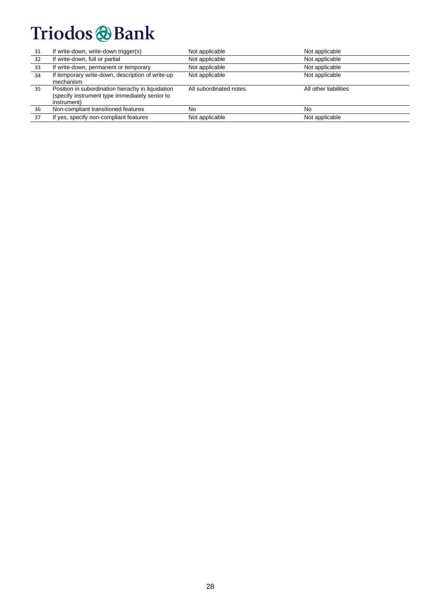# Triodos & Bank

| 31 | If write-down, write-down trigger(s)                                                                               | Not applicable         | Not applicable        |
|----|--------------------------------------------------------------------------------------------------------------------|------------------------|-----------------------|
| 32 | If write-down, full or partial                                                                                     | Not applicable         | Not applicable        |
| 33 | If write-down, permanent or temporary                                                                              | Not applicable         | Not applicable        |
| 34 | If temporary write-down, description of write-up<br>mechanism                                                      | Not applicable         | Not applicable        |
| 35 | Position in subordination hierachy in liquidation<br>(specify instrument type immediately senior to<br>instrument) | All subordinated notes | All other liabilities |
| 36 | Non-compliant transitioned features                                                                                | No                     | No                    |
| 37 | If yes, specify non-compliant features                                                                             | Not applicable         | Not applicable        |
|    |                                                                                                                    |                        |                       |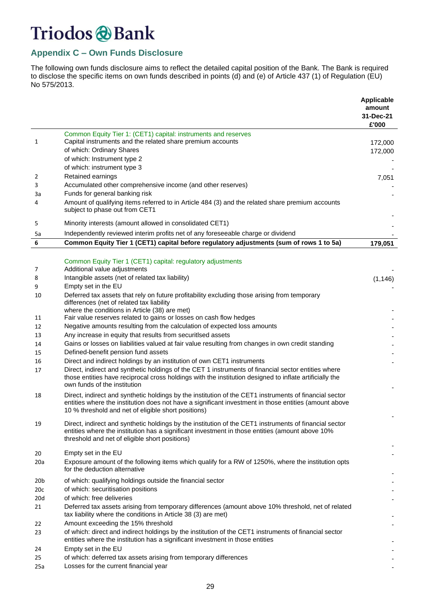#### <span id="page-28-0"></span>**Appendix C – Own Funds Disclosure**

The following own funds disclosure aims to reflect the detailed capital position of the Bank. The Bank is required to disclose the specific items on own funds described in points (d) and (e) of Article 437 (1) of Regulation (EU) No 575/2013.

|                 |                                                                                                                                                                                                                                                             | <b>Applicable</b><br>amount<br>31-Dec-21<br>£'000 |
|-----------------|-------------------------------------------------------------------------------------------------------------------------------------------------------------------------------------------------------------------------------------------------------------|---------------------------------------------------|
|                 | Common Equity Tier 1: (CET1) capital: instruments and reserves                                                                                                                                                                                              |                                                   |
| 1               | Capital instruments and the related share premium accounts<br>of which: Ordinary Shares                                                                                                                                                                     | 172,000                                           |
|                 | of which: Instrument type 2                                                                                                                                                                                                                                 | 172,000                                           |
|                 | of which: instrument type 3                                                                                                                                                                                                                                 |                                                   |
| 2               | Retained earnings                                                                                                                                                                                                                                           | 7,051                                             |
| 3               | Accumulated other comprehensive income (and other reserves)                                                                                                                                                                                                 |                                                   |
| За              | Funds for general banking risk                                                                                                                                                                                                                              |                                                   |
| 4               | Amount of qualifying items referred to in Article 484 (3) and the related share premium accounts<br>subject to phase out from CET1                                                                                                                          |                                                   |
| 5               | Minority interests (amount allowed in consolidated CET1)                                                                                                                                                                                                    |                                                   |
| 5a              | Independently reviewed interim profits net of any foreseeable charge or dividend                                                                                                                                                                            |                                                   |
| 6               | Common Equity Tier 1 (CET1) capital before regulatory adjustments (sum of rows 1 to 5a)                                                                                                                                                                     | 179,051                                           |
|                 |                                                                                                                                                                                                                                                             |                                                   |
| 7               | Common Equity Tier 1 (CET1) capital: regulatory adjustments<br>Additional value adjustments                                                                                                                                                                 |                                                   |
| 8               | Intangible assets (net of related tax liability)                                                                                                                                                                                                            | (1, 146)                                          |
| 9               | Empty set in the EU                                                                                                                                                                                                                                         |                                                   |
| 10              | Deferred tax assets that rely on future profitability excluding those arising from temporary<br>differences (net of related tax liability                                                                                                                   |                                                   |
| 11              | where the conditions in Article (38) are met)<br>Fair value reserves related to gains or losses on cash flow hedges                                                                                                                                         |                                                   |
| 12              | Negative amounts resulting from the calculation of expected loss amounts                                                                                                                                                                                    |                                                   |
| 13              | Any increase in equity that results from securitIsed assets                                                                                                                                                                                                 |                                                   |
| 14              | Gains or losses on liabilities valued at fair value resulting from changes in own credit standing                                                                                                                                                           |                                                   |
| 15              | Defined-benefit pension fund assets                                                                                                                                                                                                                         |                                                   |
| 16              | Direct and indirect holdings by an institution of own CET1 instruments                                                                                                                                                                                      |                                                   |
| 17              | Direct, indirect and synthetic holdings of the CET 1 instruments of financial sector entities where<br>those entities have reciprocal cross holdings with the institution designed to inflate artificially the<br>own funds of the institution              |                                                   |
| 18              | Direct, indirect and synthetic holdings by the institution of the CET1 instruments of financial sector<br>entities where the institution does not have a significant investment in those entities (amount above                                             |                                                   |
|                 | 10 % threshold and net of eligible short positions)                                                                                                                                                                                                         |                                                   |
| 19              | Direct, indirect and synthetic holdings by the institution of the CET1 instruments of financial sector<br>entities where the institution has a significant investment in those entities (amount above 10%<br>threshold and net of eligible short positions) |                                                   |
|                 |                                                                                                                                                                                                                                                             |                                                   |
| 20              | Empty set in the EU                                                                                                                                                                                                                                         |                                                   |
| 20a             | Exposure amount of the following items which qualify for a RW of 1250%, where the institution opts<br>for the deduction alternative                                                                                                                         |                                                   |
| 20 <sub>b</sub> | of which: qualifying holdings outside the financial sector                                                                                                                                                                                                  |                                                   |
| 20c             | of which: securitisation positions                                                                                                                                                                                                                          |                                                   |
| 20d             | of which: free deliveries                                                                                                                                                                                                                                   |                                                   |
| 21              | Deferred tax assets arising from temporary differences (amount above 10% threshold, net of related<br>tax liability where the conditions in Article 38 (3) are met)                                                                                         |                                                   |
| 22              | Amount exceeding the 15% threshold                                                                                                                                                                                                                          |                                                   |
| 23              | of which: direct and indirect holdings by the institution of the CET1 instruments of financial sector<br>entities where the institution has a significant investment in those entities                                                                      |                                                   |
| 24              | Empty set in the EU                                                                                                                                                                                                                                         |                                                   |
| 25<br>25a       | of which: deferred tax assets arising from temporary differences<br>Losses for the current financial year                                                                                                                                                   |                                                   |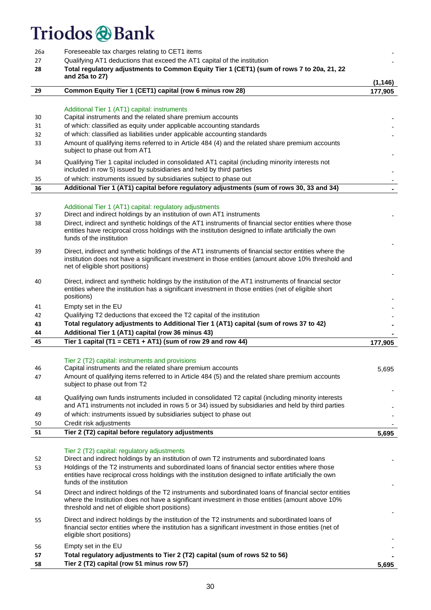| 26a<br>27<br>28      | Foreseeable tax charges relating to CET1 items<br>Qualifying AT1 deductions that exceed the AT1 capital of the institution<br>Total regulatory adjustments to Common Equity Tier 1 (CET1) (sum of rows 7 to 20a, 21, 22<br>and 25a to 27)                                                                                                                                                            |          |  |  |  |
|----------------------|------------------------------------------------------------------------------------------------------------------------------------------------------------------------------------------------------------------------------------------------------------------------------------------------------------------------------------------------------------------------------------------------------|----------|--|--|--|
| 29                   | Common Equity Tier 1 (CET1) capital (row 6 minus row 28)                                                                                                                                                                                                                                                                                                                                             | (1, 146) |  |  |  |
|                      |                                                                                                                                                                                                                                                                                                                                                                                                      | 177,905  |  |  |  |
| 30<br>31<br>32<br>33 | Additional Tier 1 (AT1) capital: instruments<br>Capital instruments and the related share premium accounts<br>of which: classified as equity under applicable accounting standards<br>of which: classified as liabilities under applicable accounting standards<br>Amount of qualifying items referred to in Article 484 (4) and the related share premium accounts<br>subject to phase out from AT1 |          |  |  |  |
| 34                   | Qualifying Tier 1 capital included in consolidated AT1 capital (including minority interests not<br>included in row 5) issued by subsidiaries and held by third parties                                                                                                                                                                                                                              |          |  |  |  |
| 35                   | of which: instruments issued by subsidiaries subject to phase out                                                                                                                                                                                                                                                                                                                                    |          |  |  |  |
| 36                   | Additional Tier 1 (AT1) capital before regulatory adjustments (sum of rows 30, 33 and 34)                                                                                                                                                                                                                                                                                                            | $\sim$   |  |  |  |
| 37<br>38             | Additional Tier 1 (AT1) capital: regulatory adjustments<br>Direct and indirect holdings by an institution of own AT1 instruments<br>Direct, indirect and synthetic holdings of the AT1 instruments of financial sector entities where those<br>entities have reciprocal cross holdings with the institution designed to inflate artificially the own<br>funds of the institution                     |          |  |  |  |
| 39                   | Direct, indirect and synthetic holdings of the AT1 instruments of financial sector entities where the<br>institution does not have a significant investment in those entities (amount above 10% threshold and<br>net of eligible short positions)                                                                                                                                                    |          |  |  |  |
| 40                   | Direct, indirect and synthetic holdings by the institution of the AT1 instruments of financial sector<br>entities where the institution has a significant investment in those entities (net of eligible short<br>positions)                                                                                                                                                                          |          |  |  |  |
| 41                   | Empty set in the EU                                                                                                                                                                                                                                                                                                                                                                                  |          |  |  |  |
| 42                   | Qualifying T2 deductions that exceed the T2 capital of the institution                                                                                                                                                                                                                                                                                                                               |          |  |  |  |
| 43<br>44             | Total regulatory adjustments to Additional Tier 1 (AT1) capital (sum of rows 37 to 42)<br>Additional Tier 1 (AT1) capital (row 36 minus 43)                                                                                                                                                                                                                                                          |          |  |  |  |
| 45                   | Tier 1 capital (T1 = CET1 + AT1) (sum of row 29 and row 44)                                                                                                                                                                                                                                                                                                                                          | 177,905  |  |  |  |
|                      |                                                                                                                                                                                                                                                                                                                                                                                                      |          |  |  |  |
| 46<br>47             | Tier 2 (T2) capital: instruments and provisions<br>Capital instruments and the related share premium accounts<br>Amount of qualifying items referred to in Article 484 (5) and the related share premium accounts<br>subject to phase out from T2                                                                                                                                                    | 5,695    |  |  |  |
| 48                   | Qualifying own funds instruments included in consolidated T2 capital (including minority interests<br>and AT1 instruments not included in rows 5 or 34) issued by subsidiaries and held by third parties                                                                                                                                                                                             |          |  |  |  |
| 49                   | of which: instruments issued by subsidiaries subject to phase out                                                                                                                                                                                                                                                                                                                                    |          |  |  |  |
| 50                   | Credit risk adjustments                                                                                                                                                                                                                                                                                                                                                                              |          |  |  |  |
| 51                   | Tier 2 (T2) capital before regulatory adjustments                                                                                                                                                                                                                                                                                                                                                    | 5,695    |  |  |  |
| 52<br>53             | Tier 2 (T2) capital: regulatory adjustments<br>Direct and indirect holdings by an institution of own T2 instruments and subordinated loans<br>Holdings of the T2 instruments and subordinated loans of financial sector entities where those                                                                                                                                                         |          |  |  |  |
|                      | entities have reciprocal cross holdings with the institution designed to inflate artificially the own<br>funds of the institution                                                                                                                                                                                                                                                                    |          |  |  |  |
| 54                   | Direct and indirect holdings of the T2 instruments and subordinated loans of financial sector entities<br>where the Institution does not have a significant investment in those entities (amount above 10%<br>threshold and net of eligible short positions)                                                                                                                                         |          |  |  |  |
| 55                   | Direct and indirect holdings by the institution of the T2 instruments and subordinated loans of<br>financial sector entities where the institution has a significant investment in those entities (net of<br>eligible short positions)                                                                                                                                                               |          |  |  |  |
| 56                   | Empty set in the EU                                                                                                                                                                                                                                                                                                                                                                                  |          |  |  |  |
| 57                   | Total regulatory adjustments to Tier 2 (T2) capital (sum of rows 52 to 56)                                                                                                                                                                                                                                                                                                                           |          |  |  |  |
| 58                   | Tier 2 (T2) capital (row 51 minus row 57)                                                                                                                                                                                                                                                                                                                                                            | 5,695    |  |  |  |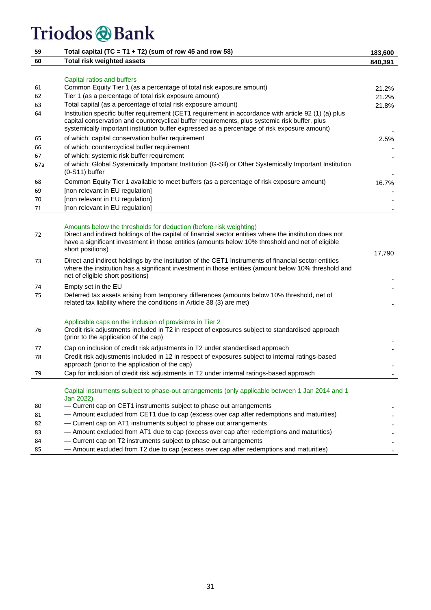| 59  | Total capital (TC = T1 + T2) (sum of row 45 and row 58)                                                                                                                                                                                                                                               | 183,600 |
|-----|-------------------------------------------------------------------------------------------------------------------------------------------------------------------------------------------------------------------------------------------------------------------------------------------------------|---------|
| 60  | <b>Total risk weighted assets</b>                                                                                                                                                                                                                                                                     | 840,391 |
|     |                                                                                                                                                                                                                                                                                                       |         |
|     | Capital ratios and buffers                                                                                                                                                                                                                                                                            |         |
| 61  | Common Equity Tier 1 (as a percentage of total risk exposure amount)                                                                                                                                                                                                                                  | 21.2%   |
| 62  | Tier 1 (as a percentage of total risk exposure amount)                                                                                                                                                                                                                                                | 21.2%   |
| 63  | Total capital (as a percentage of total risk exposure amount)                                                                                                                                                                                                                                         | 21.8%   |
| 64  | Institution specific buffer requirement (CET1 requirement in accordance with article 92 (1) (a) plus<br>capital conservation and countercyclical buffer requirements, plus systemic risk buffer, plus<br>systemically important institution buffer expressed as a percentage of risk exposure amount) |         |
| 65  | of which: capital conservation buffer requirement                                                                                                                                                                                                                                                     | 2.5%    |
| 66  | of which: countercyclical buffer requirement                                                                                                                                                                                                                                                          |         |
| 67  | of which: systemic risk buffer requirement                                                                                                                                                                                                                                                            |         |
| 67a | of which: Global Systemically Important Institution (G-SII) or Other Systemically Important Institution<br>$(0-S11)$ buffer                                                                                                                                                                           |         |
| 68  | Common Equity Tier 1 available to meet buffers (as a percentage of risk exposure amount)                                                                                                                                                                                                              | 16.7%   |
| 69  | [non relevant in EU regulation]                                                                                                                                                                                                                                                                       |         |
| 70  | [non relevant in EU regulation]                                                                                                                                                                                                                                                                       |         |
| 71  | [non relevant in EU regulation]                                                                                                                                                                                                                                                                       |         |
|     |                                                                                                                                                                                                                                                                                                       |         |
| 72  | Amounts below the thresholds for deduction (before risk weighting)<br>Direct and indirect holdings of the capital of financial sector entities where the institution does not<br>have a significant investment in those entities (amounts below 10% threshold and net of eligible<br>short positions) | 17,790  |
| 73  | Direct and indirect holdings by the institution of the CET1 Instruments of financial sector entities<br>where the institution has a significant investment in those entities (amount below 10% threshold and<br>net of eligible short positions)                                                      |         |
| 74  | Empty set in the EU                                                                                                                                                                                                                                                                                   |         |
| 75  | Deferred tax assets arising from temporary differences (amounts below 10% threshold, net of<br>related tax liability where the conditions in Article 38 (3) are met)                                                                                                                                  |         |
|     |                                                                                                                                                                                                                                                                                                       |         |
| 76  | Applicable caps on the inclusion of provisions in Tier 2<br>Credit risk adjustments included in T2 in respect of exposures subject to standardised approach<br>(prior to the application of the cap)                                                                                                  |         |
| 77  | Cap on inclusion of credit risk adjustments in T2 under standardised approach                                                                                                                                                                                                                         |         |
| 78  | Credit risk adjustments included in 12 in respect of exposures subject to internal ratings-based<br>approach (prior to the application of the cap)                                                                                                                                                    |         |
| 79  | Cap for inclusion of credit risk adjustments in T2 under internal ratings-based approach                                                                                                                                                                                                              |         |
|     | Capital instruments subject to phase-out arrangements (only applicable between 1 Jan 2014 and 1<br>Jan 2022)                                                                                                                                                                                          |         |
| 80  | - Current cap on CET1 instruments subject to phase out arrangements                                                                                                                                                                                                                                   |         |
| 81  | - Amount excluded from CET1 due to cap (excess over cap after redemptions and maturities)                                                                                                                                                                                                             |         |
| 82  | - Current cap on AT1 instruments subject to phase out arrangements                                                                                                                                                                                                                                    |         |
| 83  | - Amount excluded from AT1 due to cap (excess over cap after redemptions and maturities)                                                                                                                                                                                                              |         |
| 84  | - Current cap on T2 instruments subject to phase out arrangements                                                                                                                                                                                                                                     |         |
| 85  | - Amount excluded from T2 due to cap (excess over cap after redemptions and maturities)                                                                                                                                                                                                               |         |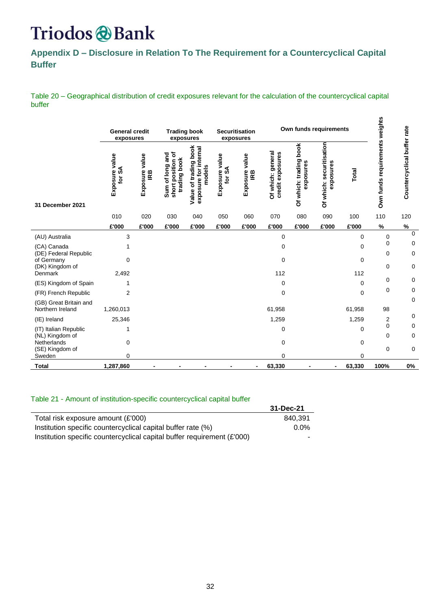### Triodos & Bank

<span id="page-31-0"></span>**Appendix D – Disclosure in Relation To The Requirement for a Countercyclical Capital Buffer**

Table 20 – Geographical distribution of credit exposures relevant for the calculation of the countercyclical capital buffer

n,

|                                                        | <b>General credit</b><br>exposures |                       | <b>Trading book</b><br>exposures                     |                                                          |                      | <b>Securitisation</b><br>exposures |                                       | Own funds requirements                 |                                       |             |                                |                             |
|--------------------------------------------------------|------------------------------------|-----------------------|------------------------------------------------------|----------------------------------------------------------|----------------------|------------------------------------|---------------------------------------|----------------------------------------|---------------------------------------|-------------|--------------------------------|-----------------------------|
| 31 December 2021                                       | Exposure value<br>for SA           | Exposure value<br>IRB | short position of<br>Sum of long and<br>trading book | Value of trading book<br>exposure for internal<br>models | value<br>Exposure va | Exposure value<br>IRB              | Of which: general<br>credit exposures | book<br>Of which: trading<br>exposures | Of which: securitisation<br>exposures | Total       | Own funds requirements weights | Countercyclical buffer rate |
|                                                        | 010                                | 020                   | 030                                                  | 040                                                      | 050                  | 060                                | 070                                   | 080                                    | 090                                   | 100         | 110                            | 120                         |
|                                                        | £'000                              | £'000                 | £'000                                                | £'000                                                    | £'000                | £'000                              | £'000                                 | £'000                                  | £'000                                 | £'000       | $\%$                           | $\%$                        |
| (AU) Australia                                         | 3                                  |                       |                                                      |                                                          |                      |                                    | $\mathbf 0$                           |                                        |                                       | 0           | 0                              | $\Omega$                    |
| (CA) Canada                                            |                                    |                       |                                                      |                                                          |                      |                                    | 0                                     |                                        |                                       | 0           | 0                              | 0                           |
| (DE) Federal Republic<br>of Germany<br>(DK) Kingdom of | 0                                  |                       |                                                      |                                                          |                      |                                    | $\mathbf 0$                           |                                        |                                       | 0           | $\mathbf 0$<br>$\mathbf 0$     | 0<br>0                      |
| Denmark                                                | 2,492                              |                       |                                                      |                                                          |                      |                                    | 112                                   |                                        |                                       | 112         |                                |                             |
| (ES) Kingdom of Spain                                  | 1                                  |                       |                                                      |                                                          |                      |                                    | 0                                     |                                        |                                       | $\mathbf 0$ | 0                              | $\mathbf 0$                 |
| (FR) French Republic                                   | 2                                  |                       |                                                      |                                                          |                      |                                    | 0                                     |                                        |                                       | 0           | 0                              | 0                           |
| (GB) Great Britain and                                 |                                    |                       |                                                      |                                                          |                      |                                    |                                       |                                        |                                       |             |                                | 0                           |
| Northern Ireland                                       | 1,260,013                          |                       |                                                      |                                                          |                      |                                    | 61,958                                |                                        |                                       | 61,958      | 98                             |                             |
| (IE) Ireland                                           | 25,346                             |                       |                                                      |                                                          |                      |                                    | 1,259                                 |                                        |                                       | 1,259       | 2                              | 0                           |
| (IT) Italian Republic                                  | 1                                  |                       |                                                      |                                                          |                      |                                    | 0                                     |                                        |                                       | 0           | $\mathbf 0$                    | 0                           |
| (NL) Kingdom of<br>Netherlands<br>(SE) Kingdom of      | 0                                  |                       |                                                      |                                                          |                      |                                    | 0                                     |                                        |                                       | 0           | 0<br>$\mathbf 0$               | $\mathbf 0$<br>0            |
| Sweden                                                 | 0                                  |                       |                                                      |                                                          |                      |                                    | 0                                     |                                        |                                       | 0           |                                |                             |
| <b>Total</b>                                           | 1,287,860                          |                       |                                                      |                                                          |                      |                                    | 63,330                                |                                        | -                                     | 63,330      | 100%                           | 0%                          |

#### Table 21 - Amount of institution-specific countercyclical capital buffer

|                                                                         | 31-Dec-21 |
|-------------------------------------------------------------------------|-----------|
| Total risk exposure amount (£'000)                                      | 840.391   |
| Institution specific countercyclical capital buffer rate (%)            | $0.0\%$   |
| Institution specific countercyclical capital buffer requirement (£'000) |           |